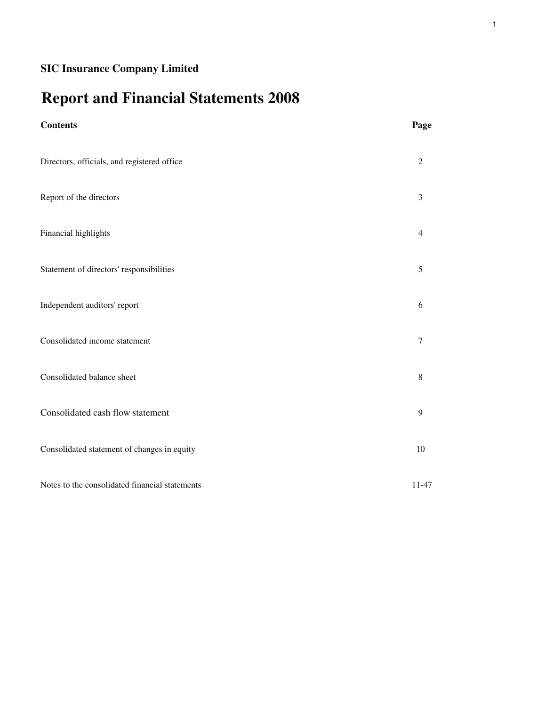# **Report and Financial Statements 2008**

| <b>Contents</b>                                | Page             |
|------------------------------------------------|------------------|
| Directors, officials, and registered office    | $\sqrt{2}$       |
| Report of the directors                        | $\mathfrak{Z}$   |
| Financial highlights                           | 4                |
| Statement of directors' responsibilities       | $\mathfrak s$    |
| Independent auditors' report                   | 6                |
| Consolidated income statement                  | $\tau$           |
| Consolidated balance sheet                     | $\,8\,$          |
| Consolidated cash flow statement               | $\boldsymbol{9}$ |
| Consolidated statement of changes in equity    | 10               |
| Notes to the consolidated financial statements | 11-47            |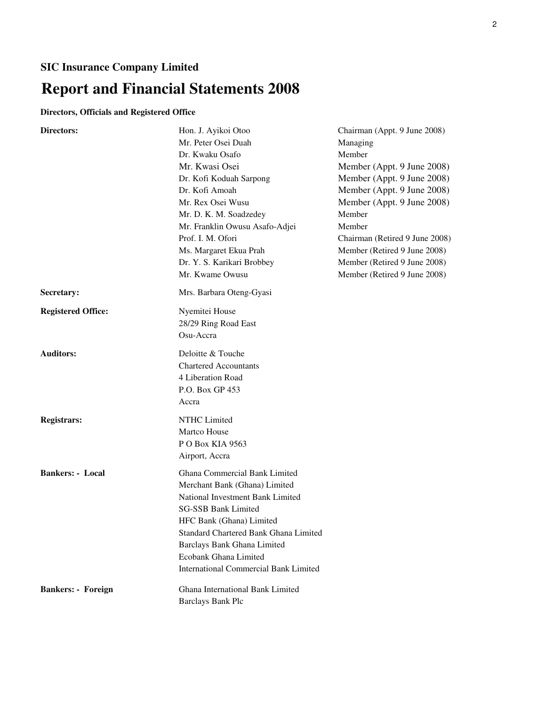# **Report and Financial Statements 2008**

# **Directors, Officials and Registered Office**

| Directors:                | Hon. J. Ayikoi Otoo                          | Chairman (Appt. 9 June 2008)   |
|---------------------------|----------------------------------------------|--------------------------------|
|                           | Mr. Peter Osei Duah                          | Managing                       |
|                           | Dr. Kwaku Osafo                              | Member                         |
|                           | Mr. Kwasi Osei                               | Member (Appt. 9 June 2008)     |
|                           | Dr. Kofi Koduah Sarpong                      | Member (Appt. 9 June 2008)     |
|                           | Dr. Kofi Amoah                               | Member (Appt. 9 June 2008)     |
|                           | Mr. Rex Osei Wusu                            | Member (Appt. 9 June 2008)     |
|                           | Mr. D. K. M. Soadzedey                       | Member                         |
|                           | Mr. Franklin Owusu Asafo-Adjei               | Member                         |
|                           | Prof. I. M. Ofori                            | Chairman (Retired 9 June 2008) |
|                           | Ms. Margaret Ekua Prah                       | Member (Retired 9 June 2008)   |
|                           | Dr. Y. S. Karikari Brobbey                   | Member (Retired 9 June 2008)   |
|                           | Mr. Kwame Owusu                              | Member (Retired 9 June 2008)   |
| Secretary:                | Mrs. Barbara Oteng-Gyasi                     |                                |
| <b>Registered Office:</b> | Nyemitei House                               |                                |
|                           | 28/29 Ring Road East                         |                                |
|                           | Osu-Accra                                    |                                |
| <b>Auditors:</b>          | Deloitte & Touche                            |                                |
|                           | <b>Chartered Accountants</b>                 |                                |
|                           | 4 Liberation Road                            |                                |
|                           | P.O. Box GP 453                              |                                |
|                           | Accra                                        |                                |
| <b>Registrars:</b>        | NTHC Limited                                 |                                |
|                           | Martco House                                 |                                |
|                           | PO Box KIA 9563                              |                                |
|                           | Airport, Accra                               |                                |
| <b>Bankers: - Local</b>   | Ghana Commercial Bank Limited                |                                |
|                           | Merchant Bank (Ghana) Limited                |                                |
|                           | National Investment Bank Limited             |                                |
|                           | <b>SG-SSB Bank Limited</b>                   |                                |
|                           | HFC Bank (Ghana) Limited                     |                                |
|                           | Standard Chartered Bank Ghana Limited        |                                |
|                           | Barclays Bank Ghana Limited                  |                                |
|                           | Ecobank Ghana Limited                        |                                |
|                           | <b>International Commercial Bank Limited</b> |                                |
| <b>Bankers: - Foreign</b> | Ghana International Bank Limited             |                                |
|                           | <b>Barclays Bank Plc</b>                     |                                |
|                           |                                              |                                |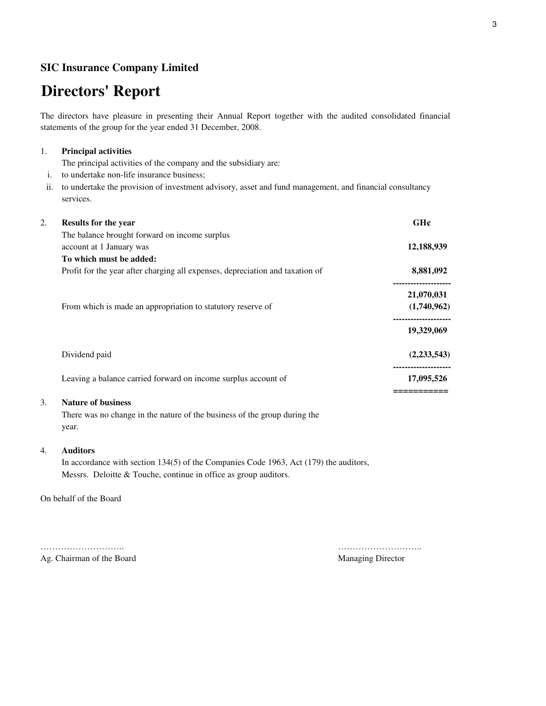# **Directors' Report**

The directors have pleasure in presenting their Annual Report together with the audited consolidated financial statements of the group for the year ended 31 December, 2008.

### 1. **Principal activities**

The principal activities of the company and the subsidiary are:

- i. to undertake non-life insurance business;
- ii. to undertake the provision of investment advisory, asset and fund management, and financial consultancy services.

| 2. | <b>Results for the year</b>                                                   | GH¢                      |
|----|-------------------------------------------------------------------------------|--------------------------|
|    | The balance brought forward on income surplus                                 |                          |
|    | account at 1 January was                                                      | 12,188,939               |
|    | To which must be added:                                                       |                          |
|    | Profit for the year after charging all expenses, depreciation and taxation of | 8,881,092                |
|    |                                                                               | 21,070,031               |
|    | From which is made an appropriation to statutory reserve of                   | (1,740,962)              |
|    |                                                                               | 19,329,069               |
|    | Dividend paid                                                                 | (2,233,543)              |
|    | Leaving a balance carried forward on income surplus account of                | ----------<br>17,095,526 |
|    |                                                                               |                          |

## 3. **Nature of business**

There was no change in the nature of the business of the group during the year.

## 4. **Auditors**

In accordance with section 134(5) of the Companies Code 1963, Act (179) the auditors, Messrs. Deloitte & Touche, continue in office as group auditors.

On behalf of the Board

……………………….. ……………………….. Ag. Chairman of the Board Managing Director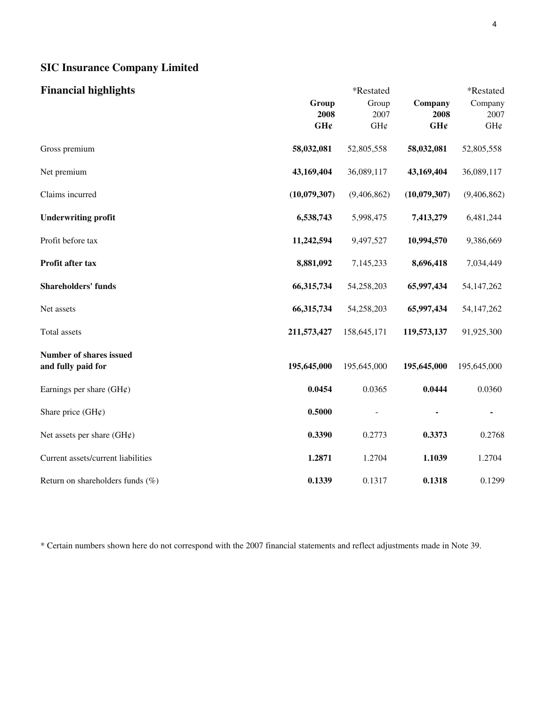| <b>Financial highlights</b>                          | *Restated    |             |              | *Restated    |  |
|------------------------------------------------------|--------------|-------------|--------------|--------------|--|
|                                                      | Group        | Group       | Company      | Company      |  |
|                                                      | 2008         | 2007        | 2008         | 2007         |  |
|                                                      | GH¢          | GH¢         | GH¢          | GH¢          |  |
| Gross premium                                        | 58,032,081   | 52,805,558  | 58,032,081   | 52,805,558   |  |
| Net premium                                          | 43,169,404   | 36,089,117  | 43,169,404   | 36,089,117   |  |
| Claims incurred                                      | (10,079,307) | (9,406,862) | (10,079,307) | (9,406,862)  |  |
| <b>Underwriting profit</b>                           | 6,538,743    | 5,998,475   | 7,413,279    | 6,481,244    |  |
| Profit before tax                                    | 11,242,594   | 9,497,527   | 10,994,570   | 9,386,669    |  |
| Profit after tax                                     | 8,881,092    | 7,145,233   | 8,696,418    | 7,034,449    |  |
| <b>Shareholders' funds</b>                           | 66,315,734   | 54,258,203  | 65,997,434   | 54, 147, 262 |  |
| Net assets                                           | 66,315,734   | 54,258,203  | 65,997,434   | 54, 147, 262 |  |
| Total assets                                         | 211,573,427  | 158,645,171 | 119,573,137  | 91,925,300   |  |
| <b>Number of shares issued</b><br>and fully paid for | 195,645,000  | 195,645,000 | 195,645,000  | 195,645,000  |  |
|                                                      |              |             |              |              |  |
| Earnings per share $(GH\varphi)$                     | 0.0454       | 0.0365      | 0.0444       | 0.0360       |  |
| Share price $(GH\varphi)$                            | 0.5000       |             |              |              |  |
| Net assets per share $(GH\varphi)$                   | 0.3390       | 0.2773      | 0.3373       | 0.2768       |  |
| Current assets/current liabilities                   | 1.2871       | 1.2704      | 1.1039       | 1.2704       |  |
| Return on shareholders funds $(\%)$                  | 0.1339       | 0.1317      | 0.1318       | 0.1299       |  |

\* Certain numbers shown here do not correspond with the 2007 financial statements and reflect adjustments made in Note 39.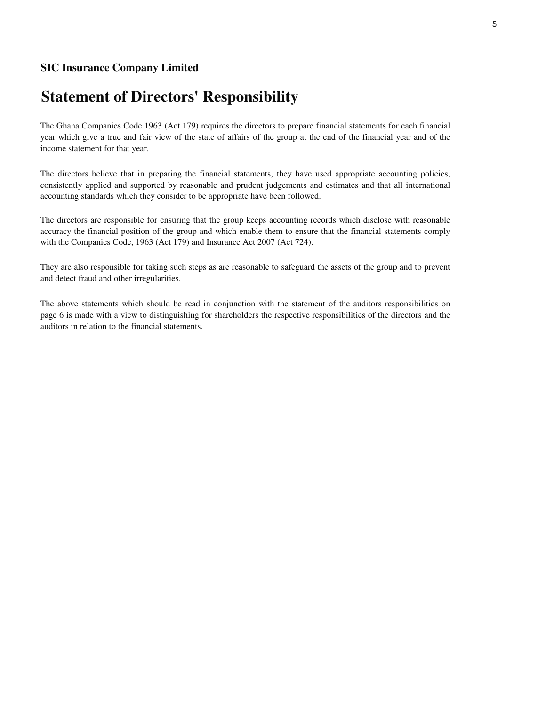# **Statement of Directors' Responsibility**

The Ghana Companies Code 1963 (Act 179) requires the directors to prepare financial statements for each financial year which give a true and fair view of the state of affairs of the group at the end of the financial year and of the income statement for that year.

The directors believe that in preparing the financial statements, they have used appropriate accounting policies, consistently applied and supported by reasonable and prudent judgements and estimates and that all international accounting standards which they consider to be appropriate have been followed.

The directors are responsible for ensuring that the group keeps accounting records which disclose with reasonable accuracy the financial position of the group and which enable them to ensure that the financial statements comply with the Companies Code, 1963 (Act 179) and Insurance Act 2007 (Act 724).

They are also responsible for taking such steps as are reasonable to safeguard the assets of the group and to prevent and detect fraud and other irregularities.

The above statements which should be read in conjunction with the statement of the auditors responsibilities on page 6 is made with a view to distinguishing for shareholders the respective responsibilities of the directors and the auditors in relation to the financial statements.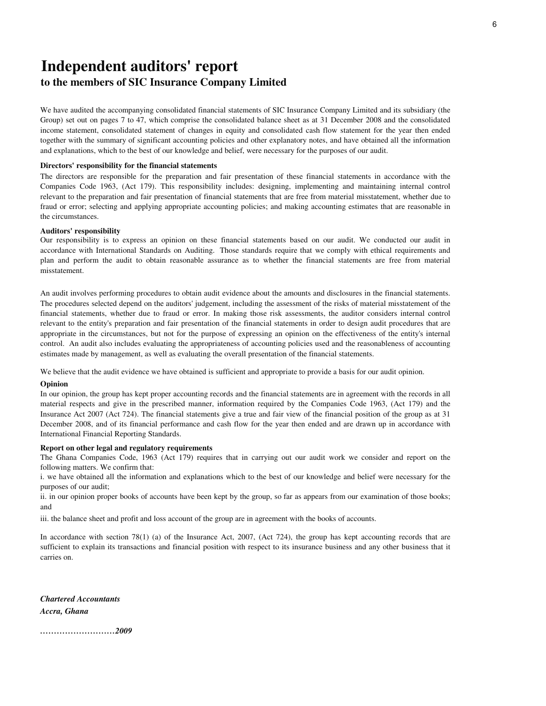# **Independent auditors' report**

# **to the members of SIC Insurance Company Limited**

We have audited the accompanying consolidated financial statements of SIC Insurance Company Limited and its subsidiary (the Group) set out on pages 7 to 47, which comprise the consolidated balance sheet as at 31 December 2008 and the consolidated income statement, consolidated statement of changes in equity and consolidated cash flow statement for the year then ended together with the summary of significant accounting policies and other explanatory notes, and have obtained all the information and explanations, which to the best of our knowledge and belief, were necessary for the purposes of our audit.

### **Directors' responsibility for the financial statements**

The directors are responsible for the preparation and fair presentation of these financial statements in accordance with the Companies Code 1963, (Act 179). This responsibility includes: designing, implementing and maintaining internal control relevant to the preparation and fair presentation of financial statements that are free from material misstatement, whether due to fraud or error; selecting and applying appropriate accounting policies; and making accounting estimates that are reasonable in the circumstances.

### **Auditors' responsibility**

Our responsibility is to express an opinion on these financial statements based on our audit. We conducted our audit in accordance with International Standards on Auditing. Those standards require that we comply with ethical requirements and plan and perform the audit to obtain reasonable assurance as to whether the financial statements are free from material misstatement.

An audit involves performing procedures to obtain audit evidence about the amounts and disclosures in the financial statements. The procedures selected depend on the auditors' judgement, including the assessment of the risks of material misstatement of the financial statements, whether due to fraud or error. In making those risk assessments, the auditor considers internal control relevant to the entity's preparation and fair presentation of the financial statements in order to design audit procedures that are appropriate in the circumstances, but not for the purpose of expressing an opinion on the effectiveness of the entity's internal control. An audit also includes evaluating the appropriateness of accounting policies used and the reasonableness of accounting estimates made by management, as well as evaluating the overall presentation of the financial statements.

We believe that the audit evidence we have obtained is sufficient and appropriate to provide a basis for our audit opinion.

### **Opinion**

In our opinion, the group has kept proper accounting records and the financial statements are in agreement with the records in all material respects and give in the prescribed manner, information required by the Companies Code 1963, (Act 179) and the Insurance Act 2007 (Act 724). The financial statements give a true and fair view of the financial position of the group as at 31 December 2008, and of its financial performance and cash flow for the year then ended and are drawn up in accordance with International Financial Reporting Standards.

### **Report on other legal and regulatory requirements**

The Ghana Companies Code, 1963 (Act 179) requires that in carrying out our audit work we consider and report on the following matters. We confirm that:

i. we have obtained all the information and explanations which to the best of our knowledge and belief were necessary for the purposes of our audit;

ii. in our opinion proper books of accounts have been kept by the group, so far as appears from our examination of those books; and

iii. the balance sheet and profit and loss account of the group are in agreement with the books of accounts.

In accordance with section  $78(1)$  (a) of the Insurance Act, 2007, (Act 724), the group has kept accounting records that are sufficient to explain its transactions and financial position with respect to its insurance business and any other business that it carries on.

*Chartered Accountants Accra, Ghana*

*………………………2009*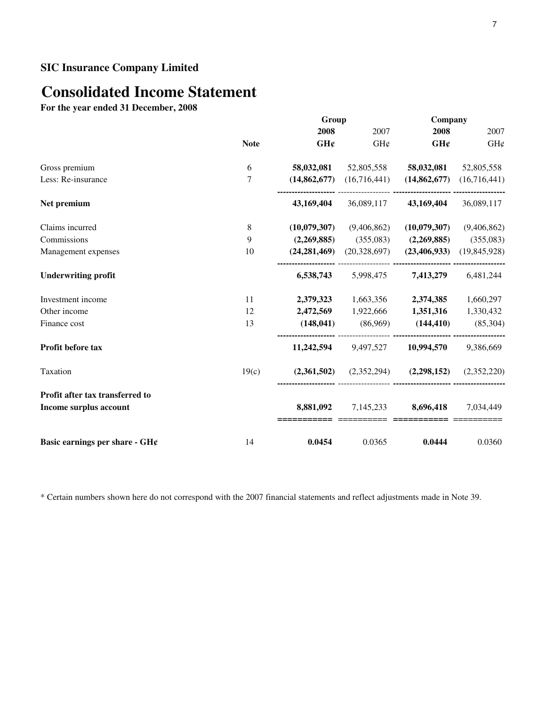# **Consolidated Income Statement**

**For the year ended 31 December, 2008**

|                                 |                | Group          |              | Company        |                |
|---------------------------------|----------------|----------------|--------------|----------------|----------------|
|                                 |                | 2008           | 2007         | 2008           | 2007           |
|                                 | <b>Note</b>    | GH¢            | GH¢          | GH¢            | GH¢            |
| Gross premium                   | 6              | 58,032,081     | 52,805,558   | 58,032,081     | 52,805,558     |
| Less: Re-insurance              | $\overline{7}$ | (14, 862, 677) | (16,716,441) | (14, 862, 677) | (16,716,441)   |
| Net premium                     |                | 43,169,404     | 36,089,117   | 43,169,404     | 36,089,117     |
| Claims incurred                 | 8              | (10,079,307)   | (9,406,862)  | (10,079,307)   | (9,406,862)    |
| Commissions                     | 9              | (2,269,885)    | (355,083)    | (2,269,885)    | (355,083)      |
| Management expenses             | 10             | (24, 281, 469) | (20,328,697) | (23, 406, 933) | (19, 845, 928) |
| <b>Underwriting profit</b>      |                | 6,538,743      | 5,998,475    | 7,413,279      | 6,481,244      |
| Investment income               | 11             | 2,379,323      | 1,663,356    | 2,374,385      | 1,660,297      |
| Other income                    | 12             | 2,472,569      | 1,922,666    | 1,351,316      | 1,330,432      |
| Finance cost                    | 13             | (148, 041)     | (86,969)     | (144, 410)     | (85,304)       |
| Profit before tax               |                | 11,242,594     | 9,497,527    | 10,994,570     | 9,386,669      |
| Taxation                        | 19(c)          | (2,361,502)    | (2,352,294)  | (2, 298, 152)  | (2,352,220)    |
| Profit after tax transferred to |                |                |              |                |                |
| Income surplus account          |                | 8,881,092      | 7,145,233    | 8,696,418      | 7,034,449      |
| Basic earnings per share - GH¢  | 14             | 0.0454         | 0.0365       | 0.0444         | 0.0360         |

\* Certain numbers shown here do not correspond with the 2007 financial statements and reflect adjustments made in Note 39.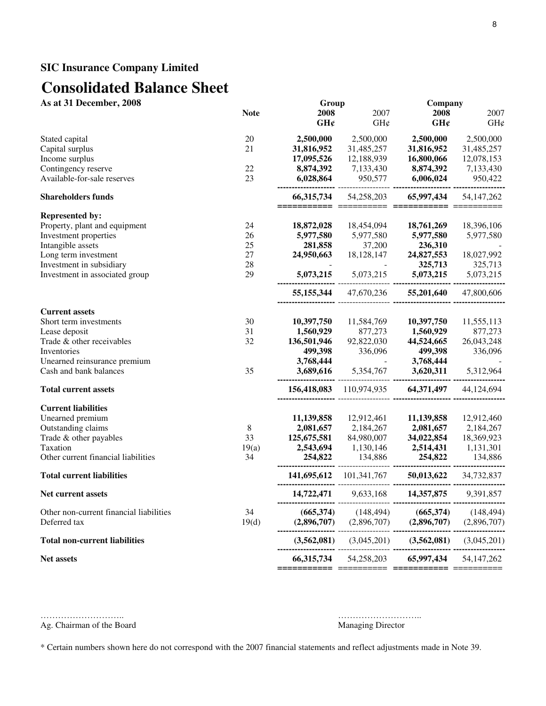# **Consolidated Balance Sheet**

**As at 31 December, 2008** Group Group Company

|                                         | <b>Note</b> | 2008<br>GH¢ | 2007<br>GH¢               | 2008<br>GHC                               | 2007<br>GH¢  |
|-----------------------------------------|-------------|-------------|---------------------------|-------------------------------------------|--------------|
| Stated capital                          | 20          | 2,500,000   | 2,500,000                 | 2,500,000                                 | 2,500,000    |
| Capital surplus                         | 21          | 31,816,952  | 31,485,257                | 31,816,952                                | 31,485,257   |
| Income surplus                          |             | 17,095,526  | 12,188,939                | 16,800,066                                | 12,078,153   |
| Contingency reserve                     | 22          | 8,874,392   | 7,133,430                 | 8,874,392                                 | 7,133,430    |
| Available-for-sale reserves             | 23          | 6,028,864   | 950,577                   | 6,006,024                                 | 950,422      |
| <b>Shareholders funds</b>               |             | 66,315,734  | 54,258,203                | 65,997,434                                | 54, 147, 262 |
| <b>Represented by:</b>                  |             |             |                           |                                           |              |
| Property, plant and equipment           | 24          | 18,872,028  | 18,454,094                | 18,761,269                                | 18,396,106   |
| Investment properties                   | 26          | 5,977,580   | 5,977,580                 | 5,977,580                                 | 5,977,580    |
| Intangible assets                       | 25          | 281,858     | 37,200                    | 236,310                                   |              |
| Long term investment                    | 27          | 24,950,663  | 18,128,147                | 24,827,553                                | 18,027,992   |
| Investment in subsidiary                | 28          |             |                           | 325,713                                   | 325,713      |
| Investment in associated group          | 29          |             | $5,073,215$ $5,073,215$   | 5,073,215                                 | 5,073,215    |
|                                         |             |             | 55,155,344 47,670,236     | 55,201,640                                | 47,800,606   |
| <b>Current assets</b>                   |             |             |                           |                                           |              |
| Short term investments                  | 30          | 10,397,750  | 11,584,769                | 10,397,750                                | 11,555,113   |
| Lease deposit                           | 31          | 1,560,929   | 877,273                   | 1,560,929                                 | 877,273      |
| Trade & other receivables               | 32          | 136,501,946 | 92,822,030                | 44,524,665                                | 26,043,248   |
| Inventories                             |             | 499,398     | 336,096                   | 499,398                                   | 336,096      |
| Unearned reinsurance premium            |             | 3,768,444   |                           | 3,768,444                                 |              |
| Cash and bank balances                  | 35          |             | 3,689,616 5,354,767       | 3,620,311                                 | 5,312,964    |
| <b>Total current assets</b>             |             |             | 156,418,083 110,974,935   | 64,371,497                                | 44,124,694   |
| <b>Current liabilities</b>              |             |             |                           |                                           |              |
| Unearned premium                        |             | 11,139,858  | 12,912,461                | 11,139,858                                | 12,912,460   |
| Outstanding claims                      | $8\,$       | 2,081,657   | 2,184,267                 | 2,081,657                                 | 2,184,267    |
| Trade & other payables                  | 33          | 125,675,581 | 84,980,007                | 34,022,854                                | 18,369,923   |
| Taxation                                | 19(a)       | 2,543,694   | 1,130,146                 | 2,514,431                                 | 1,131,301    |
| Other current financial liabilities     | 34          | 254,822     | 134,886                   | 254,822                                   | 134,886      |
| <b>Total current liabilities</b>        |             |             |                           |                                           | 34,732,837   |
| <b>Net current assets</b>               |             |             |                           |                                           | 9,391,857    |
| Other non-current financial liabilities | 34          |             |                           | $(665,374)$ $(148,494)$ $(665,374)$       | (148, 494)   |
| Deferred tax                            | 19(d)       | (2,896,707) | (2,896,707)               | (2,896,707)                               | (2,896,707)  |
| <b>Total non-current liabilities</b>    |             |             |                           | $(3,562,081)$ $(3,045,201)$ $(3,562,081)$ | (3,045,201)  |
| <b>Net assets</b>                       |             |             | 66, 315, 734 54, 258, 203 | 65,997,434 54,147,262                     |              |
|                                         |             |             |                           |                                           |              |

……………………….. ……………………….. Ag. Chairman of the Board

\* Certain numbers shown here do not correspond with the 2007 financial statements and reflect adjustments made in Note 39.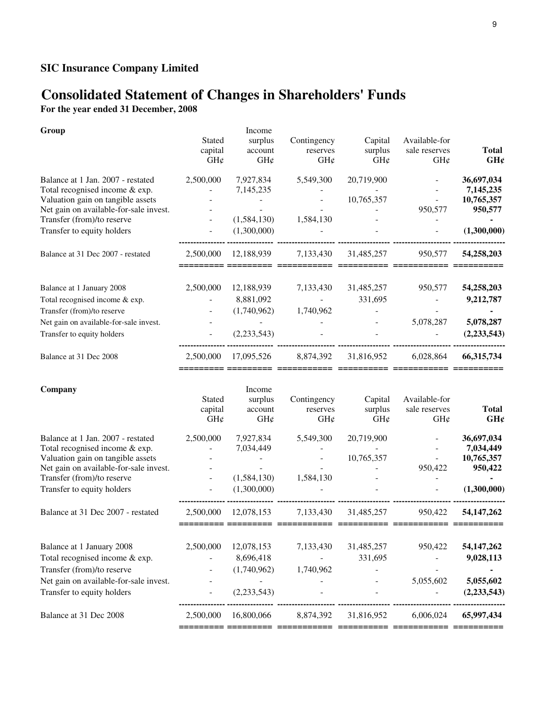# **Consolidated Statement of Changes in Shareholders' Funds**

**For the year ended 31 December, 2008**

| 2,500,000<br>Balance at 1 Jan. 2007 - restated<br>7,927,834<br>5,549,300<br>20,719,900<br>Total recognised income & exp.<br>7,145,235<br>Valuation gain on tangible assets<br>10,765,357<br>Net gain on available-for-sale invest.<br>950,577<br>Transfer (from)/to reserve<br>(1,584,130)<br>1,584,130<br>Transfer to equity holders<br>(1,300,000)<br>2,500,000<br>12,188,939<br>7,133,430<br>950,577<br>Balance at 31 Dec 2007 - restated<br>31,485,257 | 36,697,034<br>7,145,235<br>10,765,357<br>950,577<br>(1,300,000)<br>54,258,203 |
|------------------------------------------------------------------------------------------------------------------------------------------------------------------------------------------------------------------------------------------------------------------------------------------------------------------------------------------------------------------------------------------------------------------------------------------------------------|-------------------------------------------------------------------------------|
|                                                                                                                                                                                                                                                                                                                                                                                                                                                            |                                                                               |
|                                                                                                                                                                                                                                                                                                                                                                                                                                                            |                                                                               |
| 2,500,000<br>12,188,939<br>7,133,430<br>31,485,257<br>950,577<br>Balance at 1 January 2008<br>8,881,092<br>331,695<br>Total recognised income & exp.<br>(1,740,962)<br>Transfer (from)/to reserve<br>1,740,962<br>Net gain on available-for-sale invest.<br>5,078,287<br>Transfer to equity holders<br>(2,233,543)                                                                                                                                         | 54,258,203<br>9,212,787<br>5,078,287<br>(2, 233, 543)                         |
| 2,500,000<br>17,095,526<br>31,816,952<br>6,028,864<br>Balance at 31 Dec 2008<br>8,874,392                                                                                                                                                                                                                                                                                                                                                                  | 66, 315, 734                                                                  |
| Company<br>Income<br>Stated<br>surplus<br>Contingency<br>Capital<br>Available-for<br>surplus<br>sale reserves<br>capital<br>account<br>reserves<br>GH¢<br>GH¢<br>GH¢<br>GH¢<br>GH¢                                                                                                                                                                                                                                                                         | <b>Total</b><br>GH¢                                                           |
| Balance at 1 Jan. 2007 - restated<br>2,500,000<br>7,927,834<br>5,549,300<br>20,719,900<br>Total recognised income & exp.<br>7,034,449<br>Valuation gain on tangible assets<br>10,765,357<br>Net gain on available-for-sale invest.<br>950,422<br>Transfer (from)/to reserve<br>(1,584,130)<br>1,584,130<br>(1,300,000)<br>Transfer to equity holders                                                                                                       | 36,697,034<br>7,034,449<br>10,765,357<br>950,422<br>(1,300,000)               |
| Balance at 31 Dec 2007 - restated<br>2,500,000<br>12,078,153<br>7,133,430<br>31,485,257<br>950,422                                                                                                                                                                                                                                                                                                                                                         | 54, 147, 262                                                                  |
| Balance at 1 January 2008<br>2,500,000<br>12,078,153<br>7,133,430<br>31,485,257<br>950,422<br>Total recognised income & exp.<br>8,696,418<br>331,695<br>Transfer (from)/to reserve<br>(1,740,962)<br>1,740,962                                                                                                                                                                                                                                             | 54, 147, 262<br>9,028,113                                                     |
| Net gain on available-for-sale invest.<br>5,055,602<br>Transfer to equity holders<br>(2, 233, 543)                                                                                                                                                                                                                                                                                                                                                         | 5,055,602<br>(2,233,543)                                                      |
| Balance at 31 Dec 2008<br>16,800,066<br>8,874,392<br>31,816,952<br>6,006,024<br>2,500,000                                                                                                                                                                                                                                                                                                                                                                  | 65,997,434                                                                    |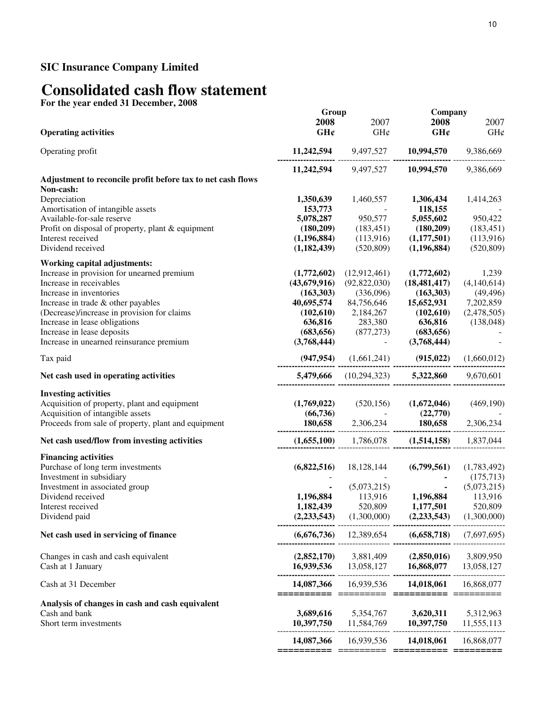# **Consolidated cash flow statement**

**For the year ended 31 December, 2008**

|                                                             | Group          |                                           | Company        |             |
|-------------------------------------------------------------|----------------|-------------------------------------------|----------------|-------------|
|                                                             | 2008           | 2007                                      | 2008           | 2007        |
| <b>Operating activities</b>                                 | GH¢            | GH¢                                       | GH¢            | GH¢         |
| Operating profit                                            |                | 11,242,594 9,497,527                      | 10,994,570     | 9,386,669   |
|                                                             | 11,242,594     | 9,497,527                                 | 10,994,570     | 9,386,669   |
| Adjustment to reconcile profit before tax to net cash flows |                |                                           |                |             |
| Non-cash:                                                   |                |                                           |                |             |
| Depreciation                                                | 1,350,639      | 1,460,557                                 | 1,306,434      | 1,414,263   |
| Amortisation of intangible assets                           | 153,773        |                                           | 118,155        |             |
| Available-for-sale reserve                                  | 5,078,287      | 950,577                                   | 5,055,602      | 950,422     |
| Profit on disposal of property, plant & equipment           | (180, 209)     | (183, 451)                                | (180,209)      | (183, 451)  |
| Interest received                                           | (1, 196, 884)  | (113,916)                                 | (1,177,501)    | (113,916)   |
| Dividend received                                           | (1,182,439)    | (520, 809)                                | (1,196,884)    | (520, 809)  |
| <b>Working capital adjustments:</b>                         |                |                                           |                |             |
| Increase in provision for unearned premium                  | (1,772,602)    | (12, 912, 461)                            | (1,772,602)    | 1,239       |
| Increase in receivables                                     | (43, 679, 916) | (92, 822, 030)                            | (18, 481, 417) | (4,140,614) |
| Increase in inventories                                     | (163,303)      | (336,096)                                 | (163, 303)     | (49, 496)   |
| Increase in trade & other payables                          | 40,695,574     | 84,756,646                                | 15,652,931     | 7,202,859   |
| (Decrease)/increase in provision for claims                 | (102, 610)     | 2,184,267                                 | (102,610)      | (2,478,505) |
| Increase in lease obligations                               | 636,816        | 283,380                                   | 636,816        | (138, 048)  |
| Increase in lease deposits                                  | (683, 656)     | (877, 273)                                | (683, 656)     |             |
| Increase in unearned reinsurance premium                    | (3,768,444)    |                                           | (3,768,444)    |             |
| Tax paid                                                    |                | $(947, 954)$ $(1, 661, 241)$ $(915, 022)$ |                | (1,660,012) |
| Net cash used in operating activities                       |                | 5,479,666 (10,294,323) 5,322,860          |                | 9,670,601   |
| <b>Investing activities</b>                                 |                |                                           |                |             |
| Acquisition of property, plant and equipment                | (1,769,022)    | (520, 156)                                | (1,672,046)    | (469, 190)  |
| Acquisition of intangible assets                            | (66, 736)      |                                           | (22,770)       |             |
| Proceeds from sale of property, plant and equipment         | 180,658        | 2,306,234                                 | 180,658        | 2,306,234   |
| Net cash used/flow from investing activities                |                | $(1,655,100)$ 1,786,078                   | (1,514,158)    | 1,837,044   |
| <b>Financing activities</b>                                 |                |                                           |                |             |
| Purchase of long term investments                           | (6,822,516)    | 18,128,144                                | (6,799,561)    | (1,783,492) |
| Investment in subsidiary                                    |                |                                           |                | (175, 713)  |
| Investment in associated group                              |                | (5,073,215)                               |                | (5,073,215) |
| Dividend received                                           | 1,196,884      | 113,916                                   | 1,196,884      | 113,916     |
| Interest received                                           | 1,182,439      | 520,809                                   | 1,177,501      | 520,809     |
| Dividend paid                                               | (2, 233, 543)  | (1,300,000)                               | (2, 233, 543)  | (1,300,000) |
| Net cash used in servicing of finance                       | (6,676,736)    | 12,389,654                                | (6,658,718)    | (7,697,695) |
| Changes in cash and cash equivalent                         | (2,852,170)    | 3,881,409                                 | (2,850,016)    | 3,809,950   |
| Cash at 1 January                                           | 16,939,536     | 13,058,127                                | 16,868,077     | 13,058,127  |
| Cash at 31 December                                         | 14,087,366     | 16,939,536                                | 14,018,061     | 16,868,077  |
|                                                             | =========      |                                           | =========      |             |
| Analysis of changes in cash and cash equivalent             |                |                                           |                |             |
| Cash and bank                                               | 3,689,616      | 5,354,767                                 | 3,620,311      | 5,312,963   |
| Short term investments                                      | 10,397,750     | 11,584,769                                | 10,397,750     | 11,555,113  |
|                                                             | 14,087,366     | 16,939,536                                | 14,018,061     | 16,868,077  |
|                                                             |                |                                           |                |             |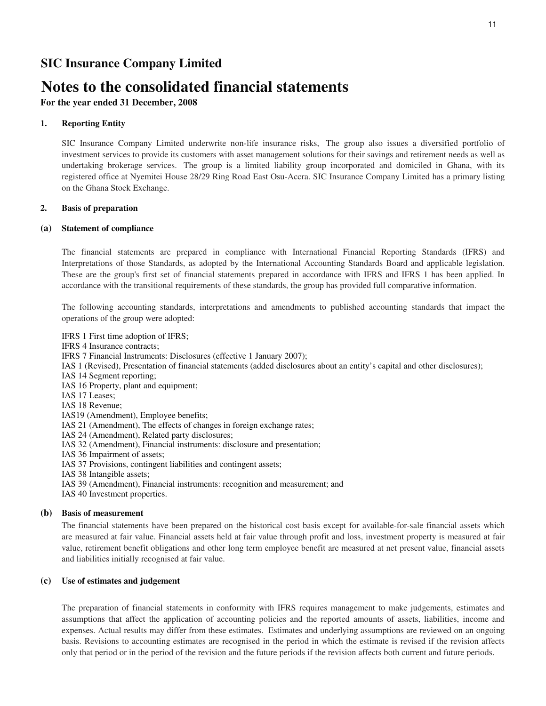# **Notes to the consolidated financial statements**

**For the year ended 31 December, 2008**

## **1. Reporting Entity**

SIC Insurance Company Limited underwrite non-life insurance risks, The group also issues a diversified portfolio of investment services to provide its customers with asset management solutions for their savings and retirement needs as well as undertaking brokerage services. The group is a limited liability group incorporated and domiciled in Ghana, with its registered office at Nyemitei House 28/29 Ring Road East Osu-Accra. SIC Insurance Company Limited has a primary listing on the Ghana Stock Exchange.

### **2. Basis of preparation**

### **(a) Statement of compliance**

The financial statements are prepared in compliance with International Financial Reporting Standards (IFRS) and Interpretations of those Standards, as adopted by the International Accounting Standards Board and applicable legislation. These are the group's first set of financial statements prepared in accordance with IFRS and IFRS 1 has been applied. In accordance with the transitional requirements of these standards, the group has provided full comparative information.

The following accounting standards, interpretations and amendments to published accounting standards that impact the operations of the group were adopted:

IFRS 1 First time adoption of IFRS; IFRS 4 Insurance contracts; IFRS 7 Financial Instruments: Disclosures (effective 1 January 2007); IAS 1 (Revised), Presentation of financial statements (added disclosures about an entity's capital and other disclosures); IAS 14 Segment reporting; IAS 16 Property, plant and equipment; IAS 17 Leases; IAS 18 Revenue; IAS19 (Amendment), Employee benefits; IAS 21 (Amendment), The effects of changes in foreign exchange rates; IAS 24 (Amendment), Related party disclosures; IAS 32 (Amendment), Financial instruments: disclosure and presentation; IAS 36 Impairment of assets; IAS 37 Provisions, contingent liabilities and contingent assets; IAS 38 Intangible assets; IAS 39 (Amendment), Financial instruments: recognition and measurement; and IAS 40 Investment properties.

### **(b) Basis of measurement**

The financial statements have been prepared on the historical cost basis except for available-for-sale financial assets which are measured at fair value. Financial assets held at fair value through profit and loss, investment property is measured at fair value, retirement benefit obligations and other long term employee benefit are measured at net present value, financial assets and liabilities initially recognised at fair value.

### **(c) Use of estimates and judgement**

The preparation of financial statements in conformity with IFRS requires management to make judgements, estimates and assumptions that affect the application of accounting policies and the reported amounts of assets, liabilities, income and expenses. Actual results may differ from these estimates. Estimates and underlying assumptions are reviewed on an ongoing basis. Revisions to accounting estimates are recognised in the period in which the estimate is revised if the revision affects only that period or in the period of the revision and the future periods if the revision affects both current and future periods.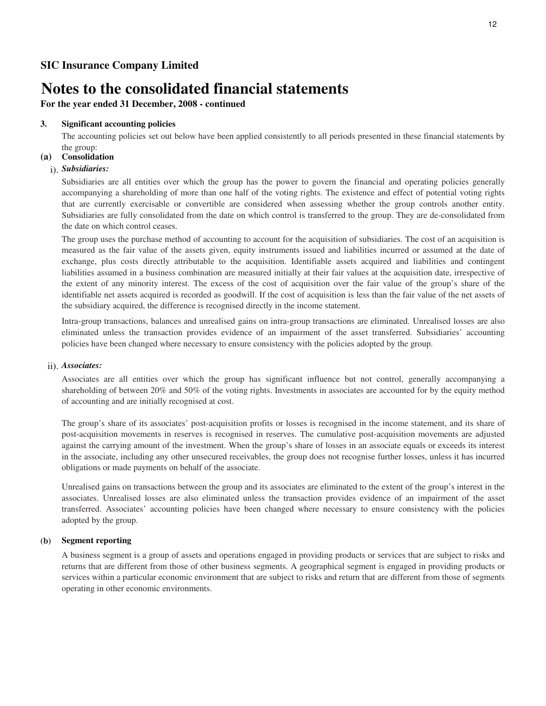**For the year ended 31 December, 2008 - continued**

## **3. Significant accounting policies**

The accounting policies set out below have been applied consistently to all periods presented in these financial statements by the group:

# **(a) Consolidation**

# i). *Subsidiaries:*

Subsidiaries are all entities over which the group has the power to govern the financial and operating policies generally accompanying a shareholding of more than one half of the voting rights. The existence and effect of potential voting rights that are currently exercisable or convertible are considered when assessing whether the group controls another entity. Subsidiaries are fully consolidated from the date on which control is transferred to the group. They are de-consolidated from the date on which control ceases.

The group uses the purchase method of accounting to account for the acquisition of subsidiaries. The cost of an acquisition is measured as the fair value of the assets given, equity instruments issued and liabilities incurred or assumed at the date of exchange, plus costs directly attributable to the acquisition. Identifiable assets acquired and liabilities and contingent liabilities assumed in a business combination are measured initially at their fair values at the acquisition date, irrespective of the extent of any minority interest. The excess of the cost of acquisition over the fair value of the group's share of the identifiable net assets acquired is recorded as goodwill. If the cost of acquisition is less than the fair value of the net assets of the subsidiary acquired, the difference is recognised directly in the income statement.

Intra-group transactions, balances and unrealised gains on intra-group transactions are eliminated. Unrealised losses are also eliminated unless the transaction provides evidence of an impairment of the asset transferred. Subsidiaries' accounting policies have been changed where necessary to ensure consistency with the policies adopted by the group.

## ii). *Associates:*

Associates are all entities over which the group has significant influence but not control, generally accompanying a shareholding of between 20% and 50% of the voting rights. Investments in associates are accounted for by the equity method of accounting and are initially recognised at cost.

The group's share of its associates' post-acquisition profits or losses is recognised in the income statement, and its share of post-acquisition movements in reserves is recognised in reserves. The cumulative post-acquisition movements are adjusted against the carrying amount of the investment. When the group's share of losses in an associate equals or exceeds its interest in the associate, including any other unsecured receivables, the group does not recognise further losses, unless it has incurred obligations or made payments on behalf of the associate.

Unrealised gains on transactions between the group and its associates are eliminated to the extent of the group's interest in the associates. Unrealised losses are also eliminated unless the transaction provides evidence of an impairment of the asset transferred. Associates' accounting policies have been changed where necessary to ensure consistency with the policies adopted by the group.

## **(b) Segment reporting**

A business segment is a group of assets and operations engaged in providing products or services that are subject to risks and returns that are different from those of other business segments. A geographical segment is engaged in providing products or services within a particular economic environment that are subject to risks and return that are different from those of segments operating in other economic environments.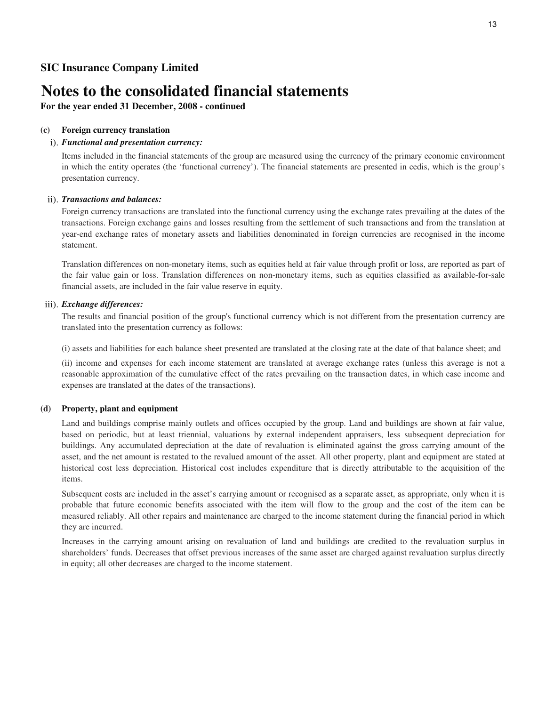**For the year ended 31 December, 2008 - continued**

#### **(c) Foreign currency translation**

## i). *Functional and presentation currency:*

Items included in the financial statements of the group are measured using the currency of the primary economic environment in which the entity operates (the 'functional currency'). The financial statements are presented in cedis, which is the group's presentation currency.

### ii). *Transactions and balances:*

Foreign currency transactions are translated into the functional currency using the exchange rates prevailing at the dates of the transactions. Foreign exchange gains and losses resulting from the settlement of such transactions and from the translation at year-end exchange rates of monetary assets and liabilities denominated in foreign currencies are recognised in the income statement.

Translation differences on non-monetary items, such as equities held at fair value through profit or loss, are reported as part of the fair value gain or loss. Translation differences on non-monetary items, such as equities classified as available-for-sale financial assets, are included in the fair value reserve in equity.

### iii). *Exchange differences:*

The results and financial position of the group's functional currency which is not different from the presentation currency are translated into the presentation currency as follows:

(i) assets and liabilities for each balance sheet presented are translated at the closing rate at the date of that balance sheet; and

(ii) income and expenses for each income statement are translated at average exchange rates (unless this average is not a reasonable approximation of the cumulative effect of the rates prevailing on the transaction dates, in which case income and expenses are translated at the dates of the transactions).

### **(d) Property, plant and equipment**

Land and buildings comprise mainly outlets and offices occupied by the group. Land and buildings are shown at fair value, based on periodic, but at least triennial, valuations by external independent appraisers, less subsequent depreciation for buildings. Any accumulated depreciation at the date of revaluation is eliminated against the gross carrying amount of the asset, and the net amount is restated to the revalued amount of the asset. All other property, plant and equipment are stated at historical cost less depreciation. Historical cost includes expenditure that is directly attributable to the acquisition of the items.

Subsequent costs are included in the asset's carrying amount or recognised as a separate asset, as appropriate, only when it is probable that future economic benefits associated with the item will flow to the group and the cost of the item can be measured reliably. All other repairs and maintenance are charged to the income statement during the financial period in which they are incurred.

Increases in the carrying amount arising on revaluation of land and buildings are credited to the revaluation surplus in shareholders' funds. Decreases that offset previous increases of the same asset are charged against revaluation surplus directly in equity; all other decreases are charged to the income statement.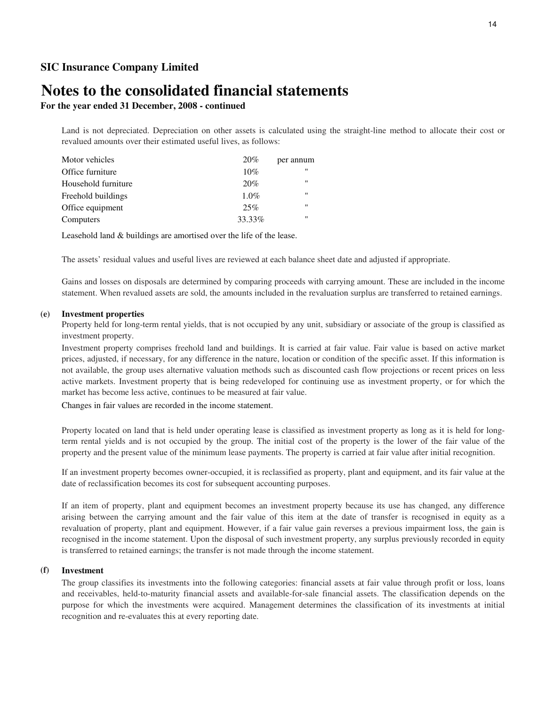**For the year ended 31 December, 2008 - continued**

Land is not depreciated. Depreciation on other assets is calculated using the straight-line method to allocate their cost or revalued amounts over their estimated useful lives, as follows:

| Motor vehicles      | 20%     | per annum         |
|---------------------|---------|-------------------|
| Office furniture    | 10%     | $^{\prime\prime}$ |
| Household furniture | 20%     | $^{\prime\prime}$ |
| Freehold buildings  | $1.0\%$ | $^{\prime\prime}$ |
| Office equipment    | 25%     | $^{\prime\prime}$ |
| Computers           | 33.33%  | $^{\prime\prime}$ |

Leasehold land & buildings are amortised over the life of the lease.

The assets' residual values and useful lives are reviewed at each balance sheet date and adjusted if appropriate.

Gains and losses on disposals are determined by comparing proceeds with carrying amount. These are included in the income statement. When revalued assets are sold, the amounts included in the revaluation surplus are transferred to retained earnings.

#### **(e) Investment properties**

Property held for long-term rental yields, that is not occupied by any unit, subsidiary or associate of the group is classified as investment property.

Investment property comprises freehold land and buildings. It is carried at fair value. Fair value is based on active market prices, adjusted, if necessary, for any difference in the nature, location or condition of the specific asset. If this information is not available, the group uses alternative valuation methods such as discounted cash flow projections or recent prices on less active markets. Investment property that is being redeveloped for continuing use as investment property, or for which the market has become less active, continues to be measured at fair value.

Changes in fair values are recorded in the income statement.

Property located on land that is held under operating lease is classified as investment property as long as it is held for longterm rental yields and is not occupied by the group. The initial cost of the property is the lower of the fair value of the property and the present value of the minimum lease payments. The property is carried at fair value after initial recognition.

If an investment property becomes owner-occupied, it is reclassified as property, plant and equipment, and its fair value at the date of reclassification becomes its cost for subsequent accounting purposes.

If an item of property, plant and equipment becomes an investment property because its use has changed, any difference arising between the carrying amount and the fair value of this item at the date of transfer is recognised in equity as a revaluation of property, plant and equipment. However, if a fair value gain reverses a previous impairment loss, the gain is recognised in the income statement. Upon the disposal of such investment property, any surplus previously recorded in equity is transferred to retained earnings; the transfer is not made through the income statement.

#### **(f) Investment**

The group classifies its investments into the following categories: financial assets at fair value through profit or loss, loans and receivables, held-to-maturity financial assets and available-for-sale financial assets. The classification depends on the purpose for which the investments were acquired. Management determines the classification of its investments at initial recognition and re-evaluates this at every reporting date.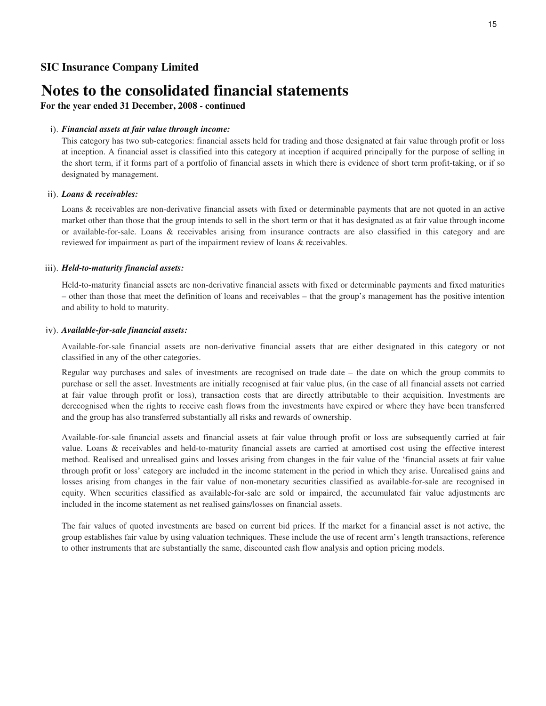## **For the year ended 31 December, 2008 - continued**

## i). *Financial assets at fair value through income:*

This category has two sub-categories: financial assets held for trading and those designated at fair value through profit or loss at inception. A financial asset is classified into this category at inception if acquired principally for the purpose of selling in the short term, if it forms part of a portfolio of financial assets in which there is evidence of short term profit-taking, or if so designated by management.

### ii). *Loans & receivables:*

Loans & receivables are non-derivative financial assets with fixed or determinable payments that are not quoted in an active market other than those that the group intends to sell in the short term or that it has designated as at fair value through income or available-for-sale. Loans & receivables arising from insurance contracts are also classified in this category and are reviewed for impairment as part of the impairment review of loans & receivables.

## iii). *Held-to-maturity financial assets:*

Held-to-maturity financial assets are non-derivative financial assets with fixed or determinable payments and fixed maturities – other than those that meet the definition of loans and receivables – that the group's management has the positive intention and ability to hold to maturity.

## iv). *Available-for-sale financial assets:*

Available-for-sale financial assets are non-derivative financial assets that are either designated in this category or not classified in any of the other categories.

Regular way purchases and sales of investments are recognised on trade date – the date on which the group commits to purchase or sell the asset. Investments are initially recognised at fair value plus, (in the case of all financial assets not carried at fair value through profit or loss), transaction costs that are directly attributable to their acquisition. Investments are derecognised when the rights to receive cash flows from the investments have expired or where they have been transferred and the group has also transferred substantially all risks and rewards of ownership.

Available-for-sale financial assets and financial assets at fair value through profit or loss are subsequently carried at fair value. Loans & receivables and held-to-maturity financial assets are carried at amortised cost using the effective interest method. Realised and unrealised gains and losses arising from changes in the fair value of the 'financial assets at fair value through profit or loss' category are included in the income statement in the period in which they arise. Unrealised gains and losses arising from changes in the fair value of non-monetary securities classified as available-for-sale are recognised in equity. When securities classified as available-for-sale are sold or impaired, the accumulated fair value adjustments are included in the income statement as net realised gains/losses on financial assets.

The fair values of quoted investments are based on current bid prices. If the market for a financial asset is not active, the group establishes fair value by using valuation techniques. These include the use of recent arm's length transactions, reference to other instruments that are substantially the same, discounted cash flow analysis and option pricing models.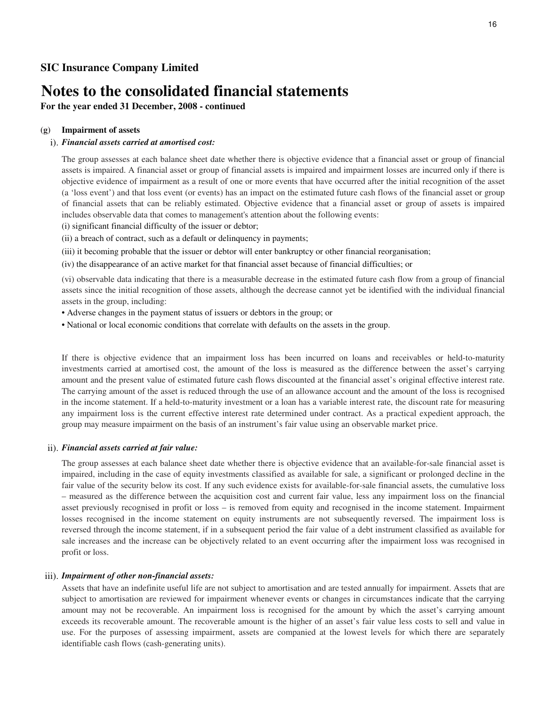**For the year ended 31 December, 2008 - continued**

#### **(g) Impairment of assets**

### i). *Financial assets carried at amortised cost:*

The group assesses at each balance sheet date whether there is objective evidence that a financial asset or group of financial assets is impaired. A financial asset or group of financial assets is impaired and impairment losses are incurred only if there is objective evidence of impairment as a result of one or more events that have occurred after the initial recognition of the asset (a 'loss event') and that loss event (or events) has an impact on the estimated future cash flows of the financial asset or group of financial assets that can be reliably estimated. Objective evidence that a financial asset or group of assets is impaired includes observable data that comes to management's attention about the following events:

(i) significant financial difficulty of the issuer or debtor;

(ii) a breach of contract, such as a default or delinquency in payments;

(iii) it becoming probable that the issuer or debtor will enter bankruptcy or other financial reorganisation;

(iv) the disappearance of an active market for that financial asset because of financial difficulties; or

(vi) observable data indicating that there is a measurable decrease in the estimated future cash flow from a group of financial assets since the initial recognition of those assets, although the decrease cannot yet be identified with the individual financial assets in the group, including:

- Adverse changes in the payment status of issuers or debtors in the group; or
- National or local economic conditions that correlate with defaults on the assets in the group.

If there is objective evidence that an impairment loss has been incurred on loans and receivables or held-to-maturity investments carried at amortised cost, the amount of the loss is measured as the difference between the asset's carrying amount and the present value of estimated future cash flows discounted at the financial asset's original effective interest rate. The carrying amount of the asset is reduced through the use of an allowance account and the amount of the loss is recognised in the income statement. If a held-to-maturity investment or a loan has a variable interest rate, the discount rate for measuring any impairment loss is the current effective interest rate determined under contract. As a practical expedient approach, the group may measure impairment on the basis of an instrument's fair value using an observable market price.

### ii). *Financial assets carried at fair value:*

The group assesses at each balance sheet date whether there is objective evidence that an available-for-sale financial asset is impaired, including in the case of equity investments classified as available for sale, a significant or prolonged decline in the fair value of the security below its cost. If any such evidence exists for available-for-sale financial assets, the cumulative loss – measured as the difference between the acquisition cost and current fair value, less any impairment loss on the financial asset previously recognised in profit or loss – is removed from equity and recognised in the income statement. Impairment losses recognised in the income statement on equity instruments are not subsequently reversed. The impairment loss is reversed through the income statement, if in a subsequent period the fair value of a debt instrument classified as available for sale increases and the increase can be objectively related to an event occurring after the impairment loss was recognised in profit or loss.

### iii). *Impairment of other non-financial assets:*

Assets that have an indefinite useful life are not subject to amortisation and are tested annually for impairment. Assets that are subject to amortisation are reviewed for impairment whenever events or changes in circumstances indicate that the carrying amount may not be recoverable. An impairment loss is recognised for the amount by which the asset's carrying amount exceeds its recoverable amount. The recoverable amount is the higher of an asset's fair value less costs to sell and value in use. For the purposes of assessing impairment, assets are companied at the lowest levels for which there are separately identifiable cash flows (cash-generating units).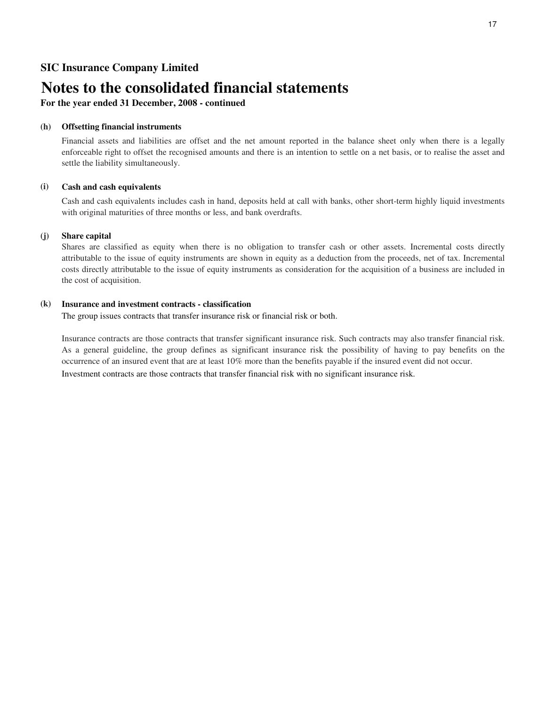# **Notes to the consolidated financial statements**

# **For the year ended 31 December, 2008 - continued**

#### **(h) Offsetting financial instruments**

Financial assets and liabilities are offset and the net amount reported in the balance sheet only when there is a legally enforceable right to offset the recognised amounts and there is an intention to settle on a net basis, or to realise the asset and settle the liability simultaneously.

#### **(i) Cash and cash equivalents**

Cash and cash equivalents includes cash in hand, deposits held at call with banks, other short-term highly liquid investments with original maturities of three months or less, and bank overdrafts.

#### **(j) Share capital**

Shares are classified as equity when there is no obligation to transfer cash or other assets. Incremental costs directly attributable to the issue of equity instruments are shown in equity as a deduction from the proceeds, net of tax. Incremental costs directly attributable to the issue of equity instruments as consideration for the acquisition of a business are included in the cost of acquisition.

### **(k) Insurance and investment contracts - classification**

The group issues contracts that transfer insurance risk or financial risk or both.

Insurance contracts are those contracts that transfer significant insurance risk. Such contracts may also transfer financial risk. As a general guideline, the group defines as significant insurance risk the possibility of having to pay benefits on the occurrence of an insured event that are at least 10% more than the benefits payable if the insured event did not occur.

Investment contracts are those contracts that transfer financial risk with no significant insurance risk.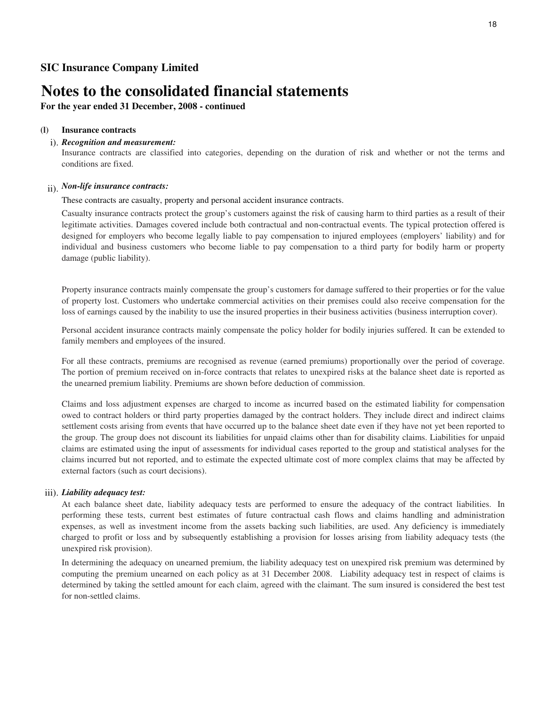**For the year ended 31 December, 2008 - continued**

#### **(l) Insurance contracts**

### i). *Recognition and measurement:*

Insurance contracts are classified into categories, depending on the duration of risk and whether or not the terms and conditions are fixed.

# ii). *Non-life insurance contracts:*

These contracts are casualty, property and personal accident insurance contracts.

Casualty insurance contracts protect the group's customers against the risk of causing harm to third parties as a result of their legitimate activities. Damages covered include both contractual and non-contractual events. The typical protection offered is designed for employers who become legally liable to pay compensation to injured employees (employers' liability) and for individual and business customers who become liable to pay compensation to a third party for bodily harm or property damage (public liability).

Property insurance contracts mainly compensate the group's customers for damage suffered to their properties or for the value of property lost. Customers who undertake commercial activities on their premises could also receive compensation for the loss of earnings caused by the inability to use the insured properties in their business activities (business interruption cover).

Personal accident insurance contracts mainly compensate the policy holder for bodily injuries suffered. It can be extended to family members and employees of the insured.

For all these contracts, premiums are recognised as revenue (earned premiums) proportionally over the period of coverage. The portion of premium received on in-force contracts that relates to unexpired risks at the balance sheet date is reported as the unearned premium liability. Premiums are shown before deduction of commission.

Claims and loss adjustment expenses are charged to income as incurred based on the estimated liability for compensation owed to contract holders or third party properties damaged by the contract holders. They include direct and indirect claims settlement costs arising from events that have occurred up to the balance sheet date even if they have not yet been reported to the group. The group does not discount its liabilities for unpaid claims other than for disability claims. Liabilities for unpaid claims are estimated using the input of assessments for individual cases reported to the group and statistical analyses for the claims incurred but not reported, and to estimate the expected ultimate cost of more complex claims that may be affected by external factors (such as court decisions).

### iii). *Liability adequacy test:*

At each balance sheet date, liability adequacy tests are performed to ensure the adequacy of the contract liabilities. In performing these tests, current best estimates of future contractual cash flows and claims handling and administration expenses, as well as investment income from the assets backing such liabilities, are used. Any deficiency is immediately charged to profit or loss and by subsequently establishing a provision for losses arising from liability adequacy tests (the unexpired risk provision).

In determining the adequacy on unearned premium, the liability adequacy test on unexpired risk premium was determined by computing the premium unearned on each policy as at 31 December 2008. Liability adequacy test in respect of claims is determined by taking the settled amount for each claim, agreed with the claimant. The sum insured is considered the best test for non-settled claims.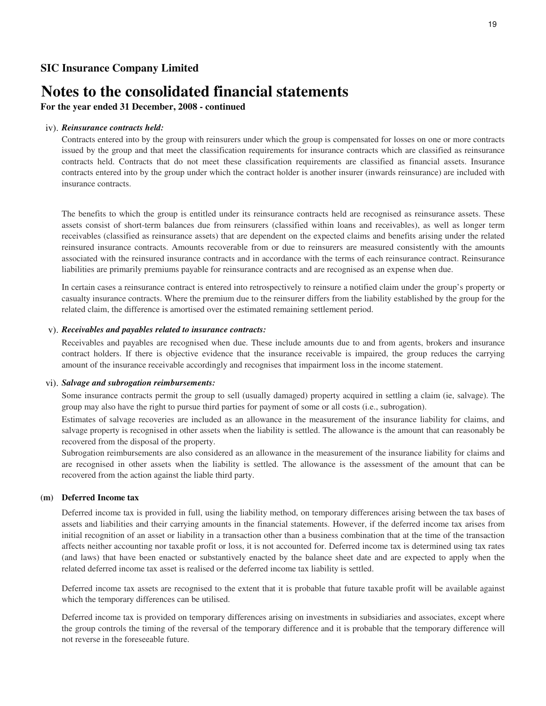## **For the year ended 31 December, 2008 - continued**

### iv). *Reinsurance contracts held:*

Contracts entered into by the group with reinsurers under which the group is compensated for losses on one or more contracts issued by the group and that meet the classification requirements for insurance contracts which are classified as reinsurance contracts held. Contracts that do not meet these classification requirements are classified as financial assets. Insurance contracts entered into by the group under which the contract holder is another insurer (inwards reinsurance) are included with insurance contracts.

The benefits to which the group is entitled under its reinsurance contracts held are recognised as reinsurance assets. These assets consist of short-term balances due from reinsurers (classified within loans and receivables), as well as longer term receivables (classified as reinsurance assets) that are dependent on the expected claims and benefits arising under the related reinsured insurance contracts. Amounts recoverable from or due to reinsurers are measured consistently with the amounts associated with the reinsured insurance contracts and in accordance with the terms of each reinsurance contract. Reinsurance liabilities are primarily premiums payable for reinsurance contracts and are recognised as an expense when due.

In certain cases a reinsurance contract is entered into retrospectively to reinsure a notified claim under the group's property or casualty insurance contracts. Where the premium due to the reinsurer differs from the liability established by the group for the related claim, the difference is amortised over the estimated remaining settlement period.

### v). *Receivables and payables related to insurance contracts:*

Receivables and payables are recognised when due. These include amounts due to and from agents, brokers and insurance contract holders. If there is objective evidence that the insurance receivable is impaired, the group reduces the carrying amount of the insurance receivable accordingly and recognises that impairment loss in the income statement.

### vi). *Salvage and subrogation reimbursements:*

Some insurance contracts permit the group to sell (usually damaged) property acquired in settling a claim (ie, salvage). The group may also have the right to pursue third parties for payment of some or all costs (i.e., subrogation).

Estimates of salvage recoveries are included as an allowance in the measurement of the insurance liability for claims, and salvage property is recognised in other assets when the liability is settled. The allowance is the amount that can reasonably be recovered from the disposal of the property.

Subrogation reimbursements are also considered as an allowance in the measurement of the insurance liability for claims and are recognised in other assets when the liability is settled. The allowance is the assessment of the amount that can be recovered from the action against the liable third party.

### **(m) Deferred Income tax**

Deferred income tax is provided in full, using the liability method, on temporary differences arising between the tax bases of assets and liabilities and their carrying amounts in the financial statements. However, if the deferred income tax arises from initial recognition of an asset or liability in a transaction other than a business combination that at the time of the transaction affects neither accounting nor taxable profit or loss, it is not accounted for. Deferred income tax is determined using tax rates (and laws) that have been enacted or substantively enacted by the balance sheet date and are expected to apply when the related deferred income tax asset is realised or the deferred income tax liability is settled.

Deferred income tax assets are recognised to the extent that it is probable that future taxable profit will be available against which the temporary differences can be utilised.

Deferred income tax is provided on temporary differences arising on investments in subsidiaries and associates, except where the group controls the timing of the reversal of the temporary difference and it is probable that the temporary difference will not reverse in the foreseeable future.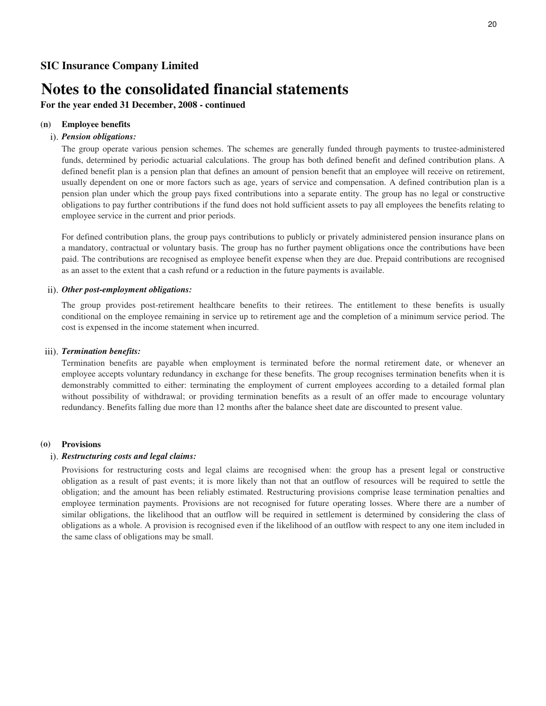**For the year ended 31 December, 2008 - continued**

### **(n) Employee benefits**

## i). *Pension obligations:*

The group operate various pension schemes. The schemes are generally funded through payments to trustee-administered funds, determined by periodic actuarial calculations. The group has both defined benefit and defined contribution plans. A defined benefit plan is a pension plan that defines an amount of pension benefit that an employee will receive on retirement, usually dependent on one or more factors such as age, years of service and compensation. A defined contribution plan is a pension plan under which the group pays fixed contributions into a separate entity. The group has no legal or constructive obligations to pay further contributions if the fund does not hold sufficient assets to pay all employees the benefits relating to employee service in the current and prior periods.

For defined contribution plans, the group pays contributions to publicly or privately administered pension insurance plans on a mandatory, contractual or voluntary basis. The group has no further payment obligations once the contributions have been paid. The contributions are recognised as employee benefit expense when they are due. Prepaid contributions are recognised as an asset to the extent that a cash refund or a reduction in the future payments is available.

### ii). *Other post-employment obligations:*

The group provides post-retirement healthcare benefits to their retirees. The entitlement to these benefits is usually conditional on the employee remaining in service up to retirement age and the completion of a minimum service period. The cost is expensed in the income statement when incurred.

## iii). *Termination benefits:*

Termination benefits are payable when employment is terminated before the normal retirement date, or whenever an employee accepts voluntary redundancy in exchange for these benefits. The group recognises termination benefits when it is demonstrably committed to either: terminating the employment of current employees according to a detailed formal plan without possibility of withdrawal; or providing termination benefits as a result of an offer made to encourage voluntary redundancy. Benefits falling due more than 12 months after the balance sheet date are discounted to present value.

### **(o) Provisions**

### i). *Restructuring costs and legal claims:*

Provisions for restructuring costs and legal claims are recognised when: the group has a present legal or constructive obligation as a result of past events; it is more likely than not that an outflow of resources will be required to settle the obligation; and the amount has been reliably estimated. Restructuring provisions comprise lease termination penalties and employee termination payments. Provisions are not recognised for future operating losses. Where there are a number of similar obligations, the likelihood that an outflow will be required in settlement is determined by considering the class of obligations as a whole. A provision is recognised even if the likelihood of an outflow with respect to any one item included in the same class of obligations may be small.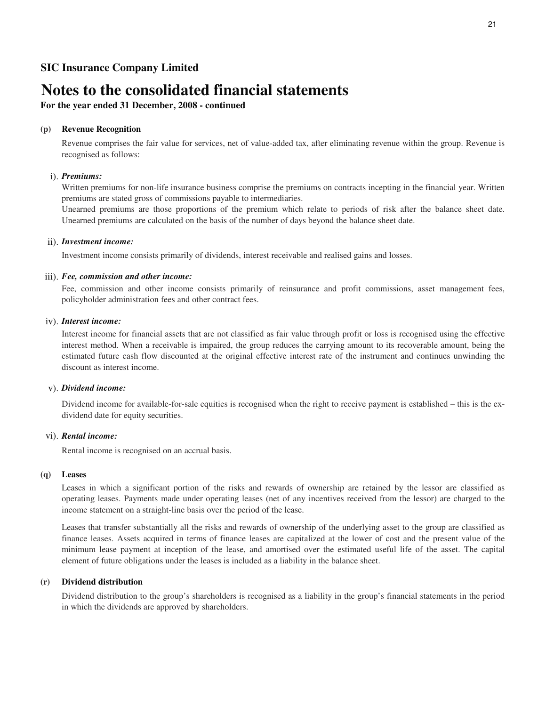**For the year ended 31 December, 2008 - continued**

#### **(p) Revenue Recognition**

Revenue comprises the fair value for services, net of value-added tax, after eliminating revenue within the group. Revenue is recognised as follows:

## i). *Premiums:*

Written premiums for non-life insurance business comprise the premiums on contracts incepting in the financial year. Written premiums are stated gross of commissions payable to intermediaries.

Unearned premiums are those proportions of the premium which relate to periods of risk after the balance sheet date. Unearned premiums are calculated on the basis of the number of days beyond the balance sheet date.

## ii). *Investment income:*

Investment income consists primarily of dividends, interest receivable and realised gains and losses.

## iii). *Fee, commission and other income:*

Fee, commission and other income consists primarily of reinsurance and profit commissions, asset management fees, policyholder administration fees and other contract fees.

## iv). *Interest income:*

Interest income for financial assets that are not classified as fair value through profit or loss is recognised using the effective interest method. When a receivable is impaired, the group reduces the carrying amount to its recoverable amount, being the estimated future cash flow discounted at the original effective interest rate of the instrument and continues unwinding the discount as interest income.

## v). *Dividend income:*

Dividend income for available-for-sale equities is recognised when the right to receive payment is established – this is the exdividend date for equity securities.

## vi). *Rental income:*

Rental income is recognised on an accrual basis.

## **(q) Leases**

Leases in which a significant portion of the risks and rewards of ownership are retained by the lessor are classified as operating leases. Payments made under operating leases (net of any incentives received from the lessor) are charged to the income statement on a straight-line basis over the period of the lease.

Leases that transfer substantially all the risks and rewards of ownership of the underlying asset to the group are classified as finance leases. Assets acquired in terms of finance leases are capitalized at the lower of cost and the present value of the minimum lease payment at inception of the lease, and amortised over the estimated useful life of the asset. The capital element of future obligations under the leases is included as a liability in the balance sheet.

#### **(r) Dividend distribution**

Dividend distribution to the group's shareholders is recognised as a liability in the group's financial statements in the period in which the dividends are approved by shareholders.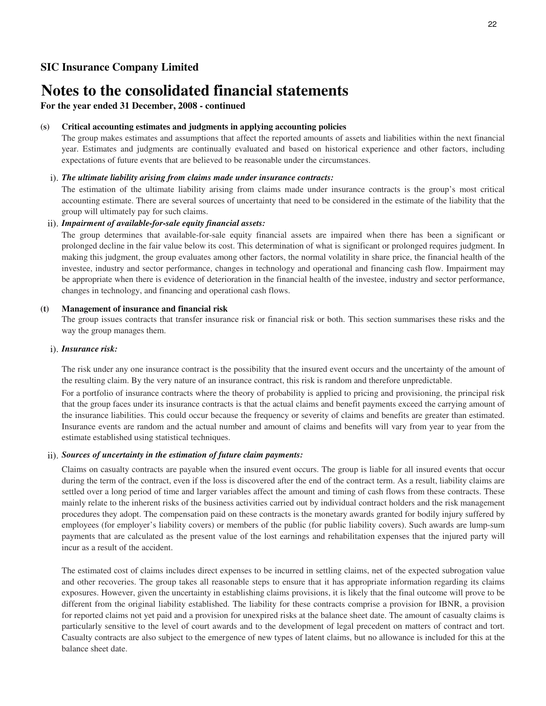## **For the year ended 31 December, 2008 - continued**

#### **(s) Critical accounting estimates and judgments in applying accounting policies**

The group makes estimates and assumptions that affect the reported amounts of assets and liabilities within the next financial year. Estimates and judgments are continually evaluated and based on historical experience and other factors, including expectations of future events that are believed to be reasonable under the circumstances.

## i). *The ultimate liability arising from claims made under insurance contracts:*

The estimation of the ultimate liability arising from claims made under insurance contracts is the group's most critical accounting estimate. There are several sources of uncertainty that need to be considered in the estimate of the liability that the group will ultimately pay for such claims.

## ii). *Impairment of available-for-sale equity financial assets:*

The group determines that available-for-sale equity financial assets are impaired when there has been a significant or prolonged decline in the fair value below its cost. This determination of what is significant or prolonged requires judgment. In making this judgment, the group evaluates among other factors, the normal volatility in share price, the financial health of the investee, industry and sector performance, changes in technology and operational and financing cash flow. Impairment may be appropriate when there is evidence of deterioration in the financial health of the investee, industry and sector performance, changes in technology, and financing and operational cash flows.

#### **(t) Management of insurance and financial risk**

The group issues contracts that transfer insurance risk or financial risk or both. This section summarises these risks and the way the group manages them.

## i). *Insurance risk:*

The risk under any one insurance contract is the possibility that the insured event occurs and the uncertainty of the amount of the resulting claim. By the very nature of an insurance contract, this risk is random and therefore unpredictable.

For a portfolio of insurance contracts where the theory of probability is applied to pricing and provisioning, the principal risk that the group faces under its insurance contracts is that the actual claims and benefit payments exceed the carrying amount of the insurance liabilities. This could occur because the frequency or severity of claims and benefits are greater than estimated. Insurance events are random and the actual number and amount of claims and benefits will vary from year to year from the estimate established using statistical techniques.

# ii). *Sources of uncertainty in the estimation of future claim payments:*

Claims on casualty contracts are payable when the insured event occurs. The group is liable for all insured events that occur during the term of the contract, even if the loss is discovered after the end of the contract term. As a result, liability claims are settled over a long period of time and larger variables affect the amount and timing of cash flows from these contracts. These mainly relate to the inherent risks of the business activities carried out by individual contract holders and the risk management procedures they adopt. The compensation paid on these contracts is the monetary awards granted for bodily injury suffered by employees (for employer's liability covers) or members of the public (for public liability covers). Such awards are lump-sum payments that are calculated as the present value of the lost earnings and rehabilitation expenses that the injured party will incur as a result of the accident.

The estimated cost of claims includes direct expenses to be incurred in settling claims, net of the expected subrogation value and other recoveries. The group takes all reasonable steps to ensure that it has appropriate information regarding its claims exposures. However, given the uncertainty in establishing claims provisions, it is likely that the final outcome will prove to be different from the original liability established. The liability for these contracts comprise a provision for IBNR, a provision for reported claims not yet paid and a provision for unexpired risks at the balance sheet date. The amount of casualty claims is particularly sensitive to the level of court awards and to the development of legal precedent on matters of contract and tort. Casualty contracts are also subject to the emergence of new types of latent claims, but no allowance is included for this at the balance sheet date.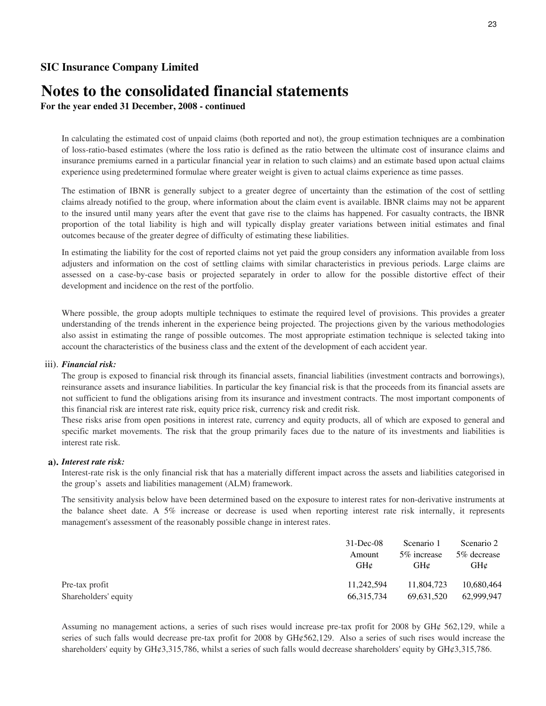**For the year ended 31 December, 2008 - continued**

In calculating the estimated cost of unpaid claims (both reported and not), the group estimation techniques are a combination of loss-ratio-based estimates (where the loss ratio is defined as the ratio between the ultimate cost of insurance claims and insurance premiums earned in a particular financial year in relation to such claims) and an estimate based upon actual claims experience using predetermined formulae where greater weight is given to actual claims experience as time passes.

The estimation of IBNR is generally subject to a greater degree of uncertainty than the estimation of the cost of settling claims already notified to the group, where information about the claim event is available. IBNR claims may not be apparent to the insured until many years after the event that gave rise to the claims has happened. For casualty contracts, the IBNR proportion of the total liability is high and will typically display greater variations between initial estimates and final outcomes because of the greater degree of difficulty of estimating these liabilities.

In estimating the liability for the cost of reported claims not yet paid the group considers any information available from loss adjusters and information on the cost of settling claims with similar characteristics in previous periods. Large claims are assessed on a case-by-case basis or projected separately in order to allow for the possible distortive effect of their development and incidence on the rest of the portfolio.

Where possible, the group adopts multiple techniques to estimate the required level of provisions. This provides a greater understanding of the trends inherent in the experience being projected. The projections given by the various methodologies also assist in estimating the range of possible outcomes. The most appropriate estimation technique is selected taking into account the characteristics of the business class and the extent of the development of each accident year.

## iii). *Financial risk:*

The group is exposed to financial risk through its financial assets, financial liabilities (investment contracts and borrowings), reinsurance assets and insurance liabilities. In particular the key financial risk is that the proceeds from its financial assets are not sufficient to fund the obligations arising from its insurance and investment contracts. The most important components of this financial risk are interest rate risk, equity price risk, currency risk and credit risk.

These risks arise from open positions in interest rate, currency and equity products, all of which are exposed to general and specific market movements. The risk that the group primarily faces due to the nature of its investments and liabilities is interest rate risk.

### **a).** *Interest rate risk:*

Interest-rate risk is the only financial risk that has a materially different impact across the assets and liabilities categorised in the group's assets and liabilities management (ALM) framework.

The sensitivity analysis below have been determined based on the exposure to interest rates for non-derivative instruments at the balance sheet date. A 5% increase or decrease is used when reporting interest rate risk internally, it represents management's assessment of the reasonably possible change in interest rates.

|                      | $31$ -Dec-08              | Scenario 1                      | Scenario 2         |
|----------------------|---------------------------|---------------------------------|--------------------|
|                      | Amount<br>$GH\mathcal{C}$ | 5\% increase<br>$GH\mathcal{C}$ | 5% decrease<br>GHz |
| Pre-tax profit       | 11.242.594                | 11.804.723                      | 10.680.464         |
| Shareholders' equity | 66.315.734                | 69,631,520                      | 62,999,947         |

Assuming no management actions, a series of such rises would increase pre-tax profit for 2008 by GH¢ 562,129, while a series of such falls would decrease pre-tax profit for 2008 by GH¢562,129. Also a series of such rises would increase the shareholders' equity by GH¢3,315,786, whilst a series of such falls would decrease shareholders' equity by GH¢3,315,786.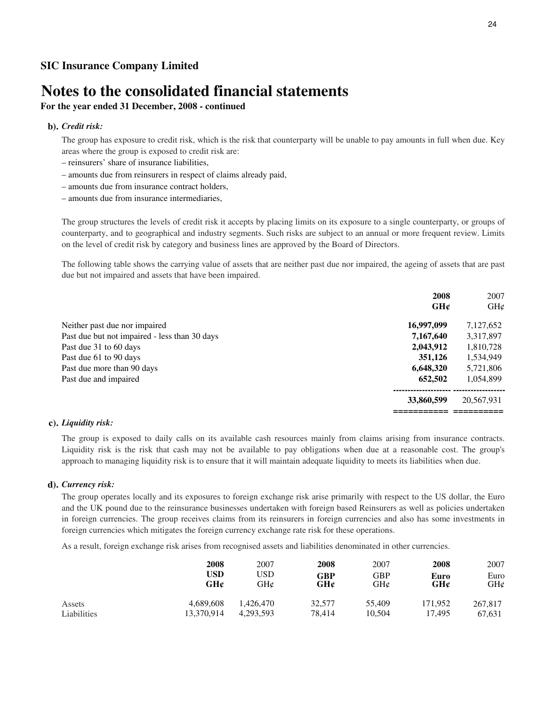## **For the year ended 31 December, 2008 - continued**

## **b).** *Credit risk:*

The group has exposure to credit risk, which is the risk that counterparty will be unable to pay amounts in full when due. Key areas where the group is exposed to credit risk are:

- reinsurers' share of insurance liabilities,
- amounts due from reinsurers in respect of claims already paid,
- amounts due from insurance contract holders,
- amounts due from insurance intermediaries,

The group structures the levels of credit risk it accepts by placing limits on its exposure to a single counterparty, or groups of counterparty, and to geographical and industry segments. Such risks are subject to an annual or more frequent review. Limits on the level of credit risk by category and business lines are approved by the Board of Directors.

The following table shows the carrying value of assets that are neither past due nor impaired, the ageing of assets that are past due but not impaired and assets that have been impaired.

|                                               | 2008       | 2007       |
|-----------------------------------------------|------------|------------|
|                                               | GHC        | GHC        |
| Neither past due nor impaired                 | 16,997,099 | 7,127,652  |
| Past due but not impaired - less than 30 days | 7,167,640  | 3,317,897  |
| Past due 31 to 60 days                        | 2,043,912  | 1,810,728  |
| Past due 61 to 90 days                        | 351,126    | 1,534,949  |
| Past due more than 90 days                    | 6,648,320  | 5,721,806  |
| Past due and impaired                         | 652,502    | 1,054,899  |
|                                               | 33,860,599 | 20,567,931 |
|                                               |            |            |

## **c).** *Liquidity risk:*

The group is exposed to daily calls on its available cash resources mainly from claims arising from insurance contracts. Liquidity risk is the risk that cash may not be available to pay obligations when due at a reasonable cost. The group's approach to managing liquidity risk is to ensure that it will maintain adequate liquidity to meets its liabilities when due.

## **d).** *Currency risk:*

The group operates locally and its exposures to foreign exchange risk arise primarily with respect to the US dollar, the Euro and the UK pound due to the reinsurance businesses undertaken with foreign based Reinsurers as well as policies undertaken in foreign currencies. The group receives claims from its reinsurers in foreign currencies and also has some investments in foreign currencies which mitigates the foreign currency exchange rate risk for these operations.

As a result, foreign exchange risk arises from recognised assets and liabilities denominated in other currencies.

|             | 2008       | 2007       | 2008              | 2007       | 2008        | 2007        |
|-------------|------------|------------|-------------------|------------|-------------|-------------|
|             | USD<br>GH¢ | USD<br>GH¢ | <b>GBP</b><br>GH¢ | GBP<br>GH¢ | Euro<br>GH¢ | Euro<br>GH¢ |
| Assets      | 4.689.608  | 1.426.470  | 32,577            | 55,409     | 171.952     | 267,817     |
| Liabilities | 13,370,914 | 4,293,593  | 78,414            | 10.504     | 17.495      | 67.631      |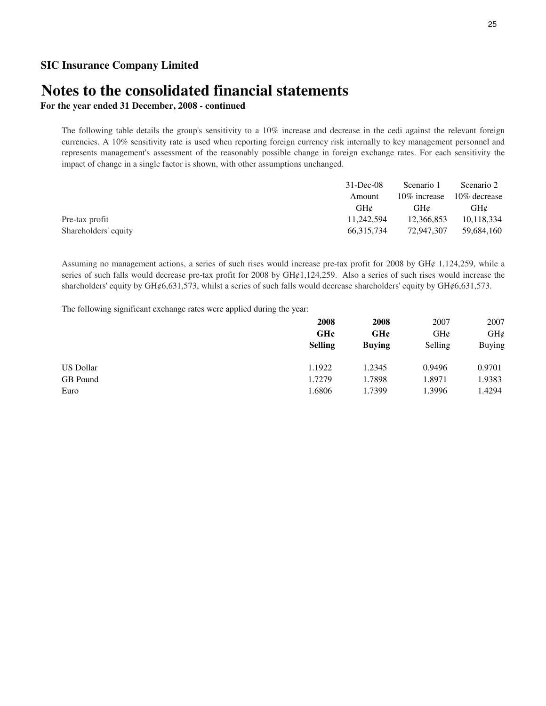# **Notes to the consolidated financial statements**

**For the year ended 31 December, 2008 - continued**

The following table details the group's sensitivity to a 10% increase and decrease in the cedi against the relevant foreign currencies. A 10% sensitivity rate is used when reporting foreign currency risk internally to key management personnel and represents management's assessment of the reasonably possible change in foreign exchange rates. For each sensitivity the impact of change in a single factor is shown, with other assumptions unchanged.

|                      | $31$ -Dec-08    | Scenario 1      | Scenario 2    |
|----------------------|-----------------|-----------------|---------------|
|                      | Amount          | 10\% increase   | 10\% decrease |
|                      | GH <sub>c</sub> | GH <sub>c</sub> | GH¢           |
| Pre-tax profit       | 11.242.594      | 12.366.853      | 10,118,334    |
| Shareholders' equity | 66.315.734      | 72.947.307      | 59.684.160    |

Assuming no management actions, a series of such rises would increase pre-tax profit for 2008 by GH¢ 1,124,259, while a series of such falls would decrease pre-tax profit for 2008 by GH¢1,124,259. Also a series of such rises would increase the shareholders' equity by GH¢6,631,573, whilst a series of such falls would decrease shareholders' equity by GH¢6,631,573.

The following significant exchange rates were applied during the year:

| 2008           | 2008          | 2007    | 2007          |
|----------------|---------------|---------|---------------|
| GHC            | GH¢           | GHC     | GH¢           |
| <b>Selling</b> | <b>Buving</b> | Selling | <b>Buying</b> |
| 1.1922         | 1.2345        | 0.9496  | 0.9701        |
| 1.7279         | 1.7898        | 1.8971  | 1.9383        |
| 1.6806         | 1.7399        | 1.3996  | 1.4294        |
|                |               |         |               |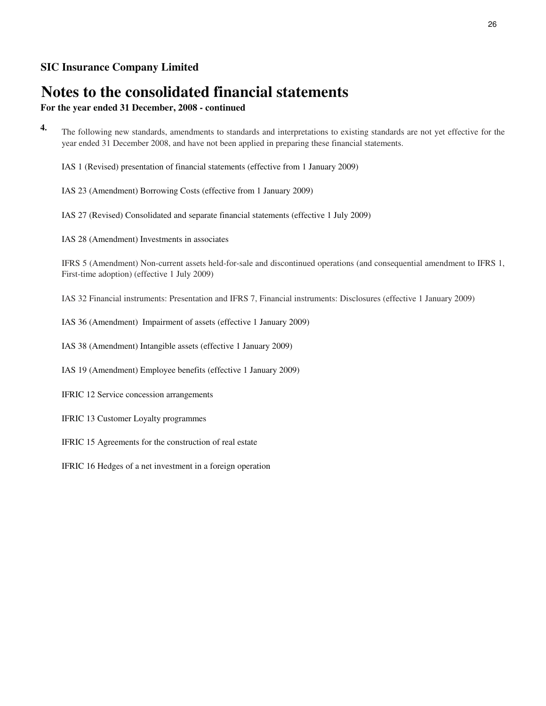# **Notes to the consolidated financial statements**

**For the year ended 31 December, 2008 - continued**

**4.** The following new standards, amendments to standards and interpretations to existing standards are not yet effective for the year ended 31 December 2008, and have not been applied in preparing these financial statements.

IAS 1 (Revised) presentation of financial statements (effective from 1 January 2009)

IAS 23 (Amendment) Borrowing Costs (effective from 1 January 2009)

IAS 27 (Revised) Consolidated and separate financial statements (effective 1 July 2009)

IAS 28 (Amendment) Investments in associates

IFRS 5 (Amendment) Non-current assets held-for-sale and discontinued operations (and consequential amendment to IFRS 1, First-time adoption) (effective 1 July 2009)

IAS 32 Financial instruments: Presentation and IFRS 7, Financial instruments: Disclosures (effective 1 January 2009)

IAS 36 (Amendment) Impairment of assets (effective 1 January 2009)

IAS 38 (Amendment) Intangible assets (effective 1 January 2009)

IAS 19 (Amendment) Employee benefits (effective 1 January 2009)

- IFRIC 12 Service concession arrangements
- IFRIC 13 Customer Loyalty programmes
- IFRIC 15 Agreements for the construction of real estate

IFRIC 16 Hedges of a net investment in a foreign operation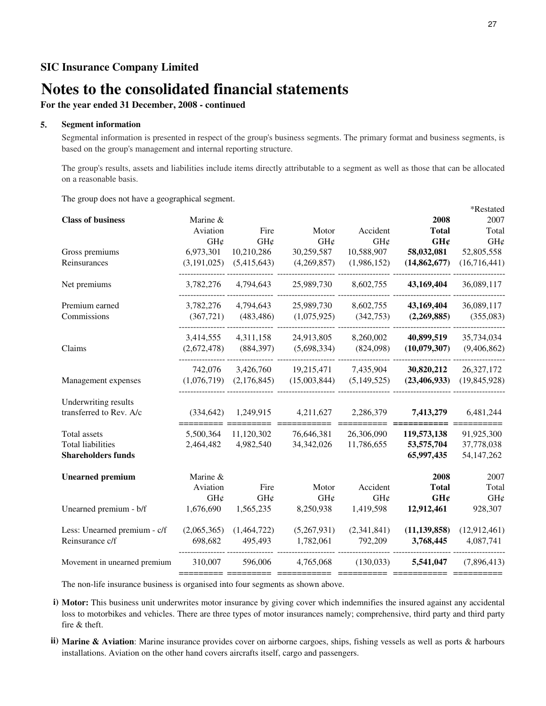**For the year ended 31 December, 2008 - continued**

#### **5. Segment information**

Segmental information is presented in respect of the group's business segments. The primary format and business segments, is based on the group's management and internal reporting structure.

The group's results, assets and liabilities include items directly attributable to a segment as well as those that can be allocated on a reasonable basis.

The group does not have a geographical segment.

| Marine &<br>Aviation | Fire                                           | Motor                                            | Accident                         | 2008<br><b>Total</b>             | 2007<br>Total                       |
|----------------------|------------------------------------------------|--------------------------------------------------|----------------------------------|----------------------------------|-------------------------------------|
|                      |                                                |                                                  |                                  |                                  | GH¢                                 |
|                      |                                                |                                                  |                                  |                                  | 52,805,558                          |
|                      |                                                |                                                  |                                  |                                  | (16,716,441)                        |
| 3,782,276            | 4,794,643                                      | 25,989,730                                       | 8,602,755                        | 43,169,404                       | 36,089,117                          |
| 3,782,276            | 4,794,643                                      | 25,989,730                                       | 8,602,755                        | 43,169,404                       | 36,089,117                          |
| (367, 721)           | (483, 486)                                     | (1,075,925)                                      | (342,753)                        | (2,269,885)                      | (355,083)                           |
| 3,414,555            | 4,311,158                                      | 24,913,805                                       | 8,260,002                        | 40,899,519                       | 35,734,034                          |
| (2,672,478)          | (884, 397)                                     | (5,698,334)                                      | (824,098)                        | (10,079,307)                     | (9,406,862)                         |
| 742,076              | 3,426,760                                      | 19,215,471                                       | 7,435,904                        | 30,820,212                       | 26,327,172                          |
| (1,076,719)          | (2,176,845)                                    | (15,003,844)                                     | (5,149,525)                      | (23, 406, 933)                   | (19, 845, 928)                      |
|                      |                                                |                                                  |                                  |                                  |                                     |
| (334, 642)           | 1,249,915                                      | 4,211,627                                        | 2,286,379                        | 7,413,279                        | 6,481,244<br>========               |
| 5,500,364            | 11,120,302                                     | 76,646,381                                       | 26,306,090                       | 119,573,138                      | 91,925,300                          |
| 2,464,482            | 4,982,540                                      | 34, 342, 026                                     | 11,786,655                       | 53,575,704                       | 37,778,038                          |
|                      |                                                |                                                  |                                  | 65,997,435                       | 54, 147, 262                        |
| Marine &             |                                                |                                                  |                                  | 2008                             | 2007                                |
| Aviation             | Fire                                           | Motor                                            | Accident                         | <b>Total</b>                     | Total                               |
| GH¢                  | GH¢                                            | GH¢                                              | GH¢                              | GHC                              | GH¢                                 |
| 1,676,690            | 1,565,235                                      | 8,250,938                                        | 1,419,598                        | 12,912,461                       | 928,307                             |
| (2,065,365)          | (1,464,722)                                    | (5,267,931)                                      | (2,341,841)                      | (11, 139, 858)                   | (12, 912, 461)                      |
| 698,682              | 495,493                                        | 1,782,061                                        | 792,209                          | 3,768,445                        | 4,087,741                           |
| 310,007              | 596,006                                        | 4,765,068                                        | (130, 033)                       | 5,541,047                        | (7,896,413)                         |
|                      | GH¢<br>6,973,301<br>(3, 191, 025)<br>========= | GH¢<br>10,210,286<br>(5,415,643)<br>$=$ ======== | GH¢<br>30,259,587<br>(4,269,857) | GH¢<br>10,588,907<br>(1,986,152) | GH¢<br>58,032,081<br>(14, 862, 677) |

The non-life insurance business is organised into four segments as shown above.

**i) Motor:** This business unit underwrites motor insurance by giving cover which indemnifies the insured against any accidental loss to motorbikes and vehicles. There are three types of motor insurances namely; comprehensive, third party and third party fire & theft.

**ii) Marine & Aviation**: Marine insurance provides cover on airborne cargoes, ships, fishing vessels as well as ports & harbours installations. Aviation on the other hand covers aircrafts itself, cargo and passengers.

\*Restated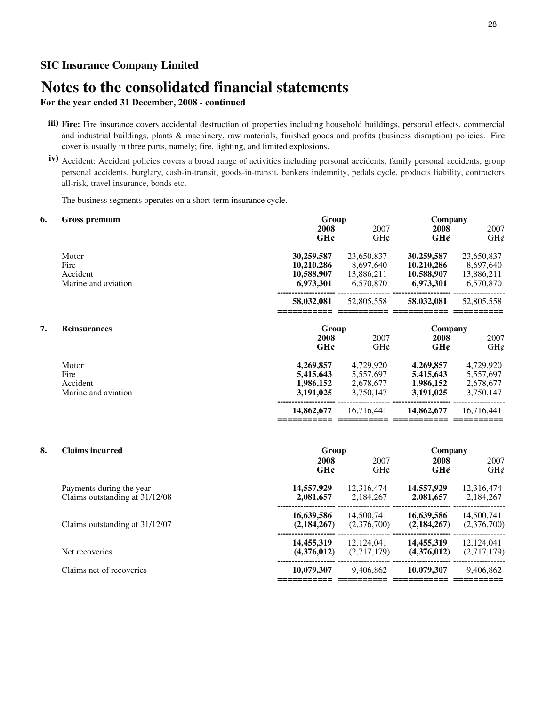# **For the year ended 31 December, 2008 - continued**

- **iii) Fire:** Fire insurance covers accidental destruction of properties including household buildings, personal effects, commercial and industrial buildings, plants & machinery, raw materials, finished goods and profits (business disruption) policies. Fire cover is usually in three parts, namely; fire, lighting, and limited explosions.
- **iv**) Accident: Accident policies covers a broad range of activities including personal accidents, family personal accidents, group personal accidents, burglary, cash-in-transit, goods-in-transit, bankers indemnity, pedals cycle, products liability, contractors all-risk, travel insurance, bonds etc.

The business segments operates on a short-term insurance cycle.

| 6.<br><b>Gross premium</b> |                     |                                                     | Group                                              |                                                     | Company                                            |  |
|----------------------------|---------------------|-----------------------------------------------------|----------------------------------------------------|-----------------------------------------------------|----------------------------------------------------|--|
|                            |                     | 2008<br>GHC                                         | 2007<br>$GH\mathcal{C}$                            | 2008<br>GH¢                                         | 2007<br>GH¢                                        |  |
| Motor<br>Fire<br>Accident  | Marine and aviation | 30,259,587<br>10,210,286<br>10,588,907<br>6,973,301 | 23,650,837<br>8,697,640<br>13,886,211<br>6,570,870 | 30,259,587<br>10,210,286<br>10,588,907<br>6,973,301 | 23,650,837<br>8,697,640<br>13,886,211<br>6,570,870 |  |
|                            |                     | 58,032,081                                          | 52,805,558                                         | 58,032,081                                          | 52,805,558                                         |  |
| 7.                         | <b>Reinsurances</b> | Group<br>2008<br>GHC                                | 2007<br>$GH\mathcal{C}$                            | Company<br>2008<br>GHC                              | 2007<br>GH¢                                        |  |
| Motor<br>Fire<br>Accident  | Marine and aviation | 4,269,857<br>5,415,643<br>1,986,152<br>3,191,025    | 4,729,920<br>5,557,697<br>2,678,677<br>3,750,147   | 4,269,857<br>5,415,643<br>1,986,152<br>3,191,025    | 4,729,920<br>5,557,697<br>2,678,677<br>3,750,147   |  |
|                            |                     | 14,862,677                                          | 16.716.441                                         | 14,862,677                                          | 16.716.441                                         |  |

## **8. Claims incurred**

|                                | 2008        | 2007        | 2008        | 2007         |
|--------------------------------|-------------|-------------|-------------|--------------|
|                                | GHC         | GHC         | GH¢         | GHC          |
| Payments during the year       | 14,557,929  | 12,316,474  | 14,557,929  | 12,316,474   |
| Claims outstanding at 31/12/08 | 2,081,657   | 2,184,267   | 2,081,657   | 2,184,267    |
| Claims outstanding at 31/12/07 | 16,639,586  | 14,500,741  | 16,639,586  | 14,500,741   |
|                                | (2,184,267) | (2,376,700) | (2,184,267) | (2,376,700)  |
| Net recoveries                 | 14,455,319  | 12.124.041  | 14,455,319  | 12, 124, 041 |
|                                | (4,376,012) | (2,717,179) | (4,376,012) | (2,717,179)  |
| Claims net of recoveries       | 10,079,307  | 9,406,862   | 10,079,307  | 9,406,862    |

**Group**

**Company**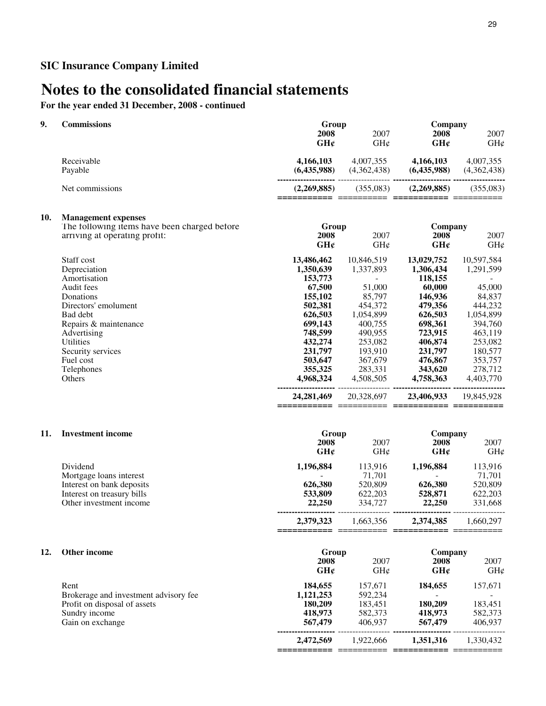**For the year ended 31 December, 2008 - continued**

## **9. Commissions**

| <b>Commissions</b> | Group       |                 | Company     |                 |
|--------------------|-------------|-----------------|-------------|-----------------|
|                    | 2008        | 2007            | 2008        | 2007            |
|                    | GHC         | $GH\mathcal{C}$ | GHC         | $GH\mathcal{C}$ |
| Receivable         | 4,166,103   | 4.007.355       | 4,166,103   | 4,007,355       |
| Payable            | (6,435,988) | (4,362,438)     | (6,435,988) | (4,362,438)     |
| Net commissions    | (2,269,885) | (355.083)       | (2,269,885) | (355,083)       |
|                    |             |                 |             |                 |

### **10. Management expenses**

The following items have been charged before arriving at operating profit:<br> **2008** 2007 2008 2007 2008 2007 2008 2007 2008 2007 2008 2007 2008 2007

|                       | GHC        | GH¢        | GH¢        | GH¢        |
|-----------------------|------------|------------|------------|------------|
| Staff cost            | 13,486,462 | 10,846,519 | 13,029,752 | 10,597,584 |
| Depreciation          | 1,350,639  | 1,337,893  | 1,306,434  | 1,291,599  |
| Amortisation          | 153,773    |            | 118,155    |            |
| Audit fees            | 67,500     | 51,000     | 60,000     | 45,000     |
| Donations             | 155,102    | 85,797     | 146,936    | 84,837     |
| Directors' emolument  | 502,381    | 454,372    | 479,356    | 444,232    |
| Bad debt              | 626,503    | 1,054,899  | 626,503    | 1,054,899  |
| Repairs & maintenance | 699,143    | 400,755    | 698,361    | 394,760    |
| Advertising           | 748,599    | 490,955    | 723,915    | 463,119    |
| <b>Utilities</b>      | 432,274    | 253,082    | 406,874    | 253,082    |
| Security services     | 231,797    | 193,910    | 231,797    | 180,577    |
| Fuel cost             | 503,647    | 367,679    | 476,867    | 353,757    |
| <b>Telephones</b>     | 355,325    | 283.331    | 343,620    | 278,712    |
| Others                | 4,968,324  | 4,508,505  | 4,758,363  | 4,403,770  |
|                       | 24,281,469 | 20,328,697 | 23,406,933 | 19,845,928 |

**===========** ========== **=========== ==========**

**Group Company**

**Group Company**

**===========** ========== **===========** ==========

**Group Company**<br>**2008 2007 2008** 

### **11. Investment income**

|                            | 2008<br>GHC | 2007<br>GHC | 2008<br>GH¢ | 2007<br>GHC |
|----------------------------|-------------|-------------|-------------|-------------|
| Dividend                   | 1,196,884   | 113.916     | 1,196,884   | 113.916     |
| Mortgage loans interest    | $\sim$      | 71.701      | -           | 71.701      |
| Interest on bank deposits  | 626,380     | 520,809     | 626,380     | 520,809     |
| Interest on treasury bills | 533,809     | 622,203     | 528,871     | 622,203     |
| Other investment income    | 22,250      | 334,727     | 22,250      | 331,668     |
|                            | 2.379.323   | 1.663.356   | 2,374,385   | 1,660,297   |

### **12. Other income**

|                                       | 2008<br>GHC | 2007<br>GHC | 2008<br>GH¢ | 2007<br>GHC |
|---------------------------------------|-------------|-------------|-------------|-------------|
| Rent                                  | 184,655     | 157.671     | 184,655     | 157,671     |
| Brokerage and investment advisory fee | 1,121,253   | 592,234     | -           |             |
| Profit on disposal of assets          | 180,209     | 183.451     | 180,209     | 183.451     |
| Sundry income                         | 418,973     | 582,373     | 418,973     | 582,373     |
| Gain on exchange                      | 567,479     | 406.937     | 567,479     | 406.937     |
|                                       | 2,472,569   | 1.922.666   | 1.351.316   | 1,330,432   |
|                                       |             |             |             |             |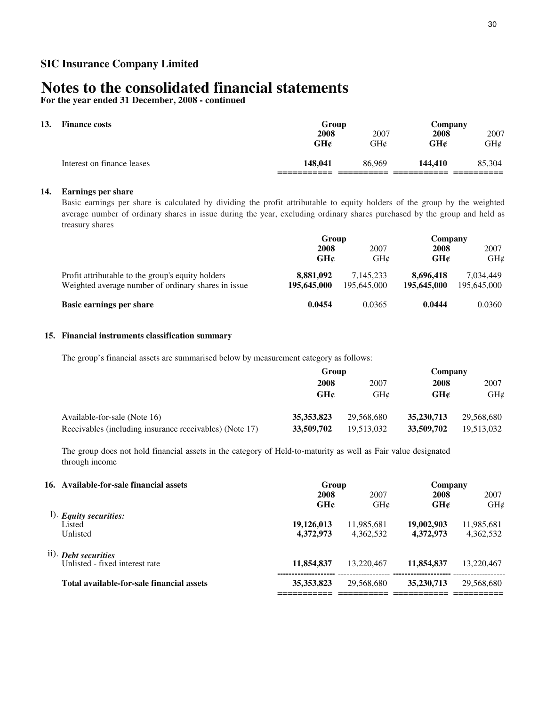**For the year ended 31 December, 2008 - continued**

| 13. | <b>Finance costs</b>       | Group<br>2008<br>GH¢ | 2007<br>GH¢ | Company<br>2008<br>GHC | 2007<br>GH¢ |
|-----|----------------------------|----------------------|-------------|------------------------|-------------|
|     | Interest on finance leases | 148,041              | 86,969      | 144,410                | 85,304      |

## **14. Earnings per share**

Basic earnings per share is calculated by dividing the profit attributable to equity holders of the group by the weighted average number of ordinary shares in issue during the year, excluding ordinary shares purchased by the group and held as treasury shares

|                                                                                                           | Group                    |                            | Company                  |                          |  |
|-----------------------------------------------------------------------------------------------------------|--------------------------|----------------------------|--------------------------|--------------------------|--|
|                                                                                                           | 2008                     | 2007                       |                          | 2008<br>2007             |  |
|                                                                                                           | GHC                      | GHC                        | GH¢                      | GH¢                      |  |
| Profit attributable to the group's equity holders<br>Weighted average number of ordinary shares in issue. | 8,881,092<br>195,645,000 | 7, 145, 233<br>195,645,000 | 8,696,418<br>195,645,000 | 7.034.449<br>195,645,000 |  |
| <b>Basic earnings per share</b>                                                                           | 0.0454                   | 0.0365                     | 0.0444                   | 0.0360                   |  |

### **15. Financial instruments classification summary**

The group's financial assets are summarised below by measurement category as follows:

|                                                         | Group        |            | Company    |            |
|---------------------------------------------------------|--------------|------------|------------|------------|
|                                                         | 2008         | 2007       | 2008       | 2007       |
|                                                         | GH¢          | GH¢        | GH¢        | GH¢        |
| Available-for-sale (Note 16)                            | 35, 353, 823 | 29.568.680 | 35,230,713 | 29,568,680 |
| Receivables (including insurance receivables) (Note 17) | 33,509,702   | 19.513.032 | 33,509,702 | 19.513.032 |

The group does not hold financial assets in the category of Held-to-maturity as well as Fair value designated through income

| 16. Available-for-sale financial assets                   | Group                   |                         |                         | Company                 |  |
|-----------------------------------------------------------|-------------------------|-------------------------|-------------------------|-------------------------|--|
|                                                           | 2008                    | 2007                    | 2008                    | 2007                    |  |
|                                                           | GHC                     | GH@                     | GHC                     | GHC                     |  |
| $\Gamma$ . Equity securities:<br>Listed<br>Unlisted       | 19,126,013<br>4,372,973 | 11,985,681<br>4.362.532 | 19,002,903<br>4.372.973 | 11,985,681<br>4,362,532 |  |
| $(i)$ . Debt securities<br>Unlisted - fixed interest rate | 11,854,837              | 13,220,467              | 11,854,837              | 13,220,467              |  |
| Total available-for-sale financial assets                 | 35, 353, 823            | 29,568,680              | 35,230,713              | 29,568,680              |  |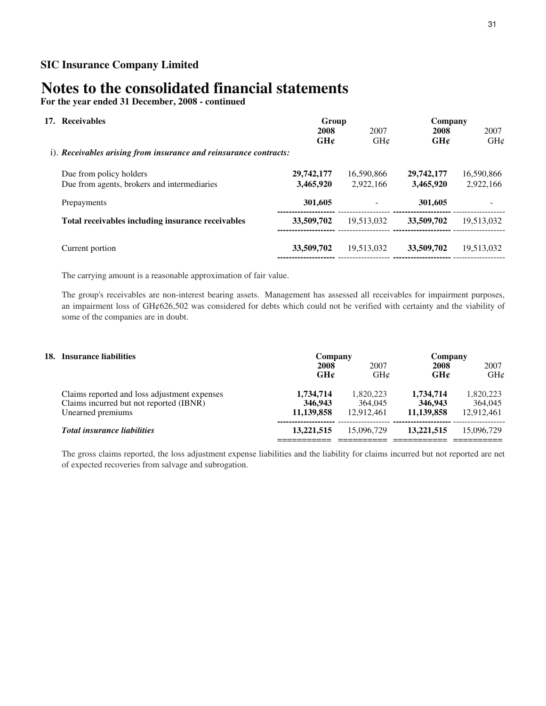# **Notes to the consolidated financial statements**

**For the year ended 31 December, 2008 - continued**

| 17. Receivables                                                   |             | Group       |             | Company     |  |
|-------------------------------------------------------------------|-------------|-------------|-------------|-------------|--|
|                                                                   | 2008<br>GHC | 2007<br>GHC | 2008<br>GH¢ | 2007<br>GHC |  |
| i). Receivables arising from insurance and reinsurance contracts: |             |             |             |             |  |
| Due from policy holders                                           | 29,742,177  | 16,590,866  | 29,742,177  | 16,590,866  |  |
| Due from agents, brokers and intermediaries                       | 3,465,920   | 2.922.166   | 3,465,920   | 2,922,166   |  |
| Prepayments                                                       | 301,605     |             | 301,605     |             |  |
| Total receivables including insurance receivables                 | 33,509,702  | 19.513.032  | 33,509,702  | 19.513.032  |  |
| Current portion                                                   | 33,509,702  | 19.513.032  | 33,509,702  | 19.513.032  |  |
|                                                                   |             |             |             |             |  |

The carrying amount is a reasonable approximation of fair value.

The group's receivables are non-interest bearing assets. Management has assessed all receivables for impairment purposes, an impairment loss of GH¢626,502 was considered for debts which could not be verified with certainty and the viability of some of the companies are in doubt.

| 18. Insurance liabilities                    | Company    |            | Company    |            |  |
|----------------------------------------------|------------|------------|------------|------------|--|
|                                              | 2008       | 2007       | 2008       | 2007       |  |
|                                              | GH¢        | $GH\&$     | GH¢        | GHC        |  |
| Claims reported and loss adjustment expenses | 1,734,714  | 1.820.223  | 1,734,714  | 1,820,223  |  |
| Claims incurred but not reported (IBNR)      | 346,943    | 364,045    | 346,943    | 364,045    |  |
| Unearned premiums                            | 11.139.858 | 12.912.461 | 11.139.858 | 12.912.461 |  |
| <b>Total insurance liabilities</b>           | 13.221.515 | 15,096,729 | 13.221.515 | 15,096,729 |  |
|                                              |            |            |            |            |  |

The gross claims reported, the loss adjustment expense liabilities and the liability for claims incurred but not reported are net of expected recoveries from salvage and subrogation.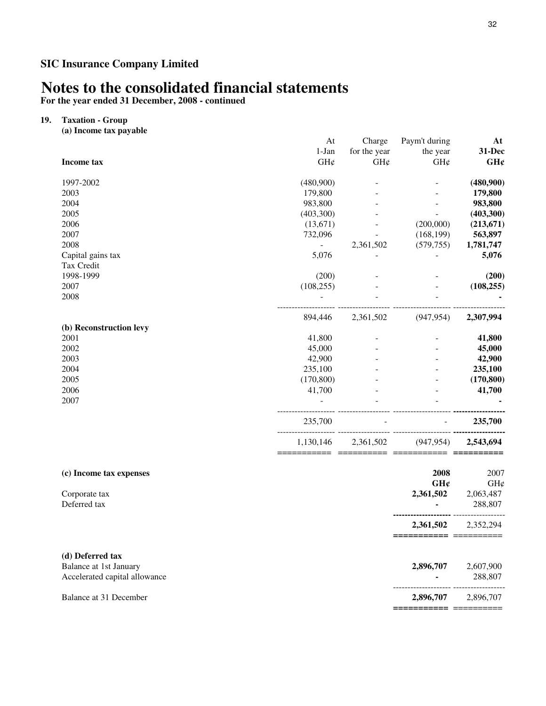**For the year ended 31 December, 2008 - continued**

## **19. Taxation - Group**

| тилинон отопр<br>(a) Income tax payable |                          |                 |               |            |
|-----------------------------------------|--------------------------|-----------------|---------------|------------|
|                                         | At                       | Charge          | Paym't during | At         |
|                                         | 1-Jan                    | for the year    | the year      | 31-Dec     |
| <b>Income tax</b>                       | GH¢                      | $GH\mathcal{C}$ | GH¢           | GH¢        |
| 1997-2002                               | (480,900)                |                 |               | (480,900)  |
| 2003                                    | 179,800                  |                 |               | 179,800    |
| 2004                                    | 983,800                  |                 |               | 983,800    |
| 2005                                    | (403,300)                |                 |               | (403, 300) |
| 2006                                    | (13,671)                 |                 | (200,000)     | (213, 671) |
| 2007                                    | 732,096                  |                 | (168, 199)    | 563,897    |
| 2008                                    | $\overline{\phantom{a}}$ | 2,361,502       | (579, 755)    | 1,781,747  |
| Capital gains tax                       | 5,076                    |                 |               | 5,076      |
| Tax Credit                              |                          |                 |               |            |
| 1998-1999                               | (200)                    |                 |               | (200)      |
| 2007                                    | (108, 255)               |                 |               | (108, 255) |
| 2008                                    |                          |                 |               |            |
|                                         | 894,446                  | 2,361,502       | (947, 954)    | 2,307,994  |
| (b) Reconstruction levy                 |                          |                 |               |            |

|                         | 894,446    | 2,361,502                | (947, 954) | 2,307,994  |
|-------------------------|------------|--------------------------|------------|------------|
| (b) Reconstruction levy |            |                          |            |            |
| 2001                    | 41,800     | ۰                        | ۰          | 41,800     |
| 2002                    | 45,000     | ۰                        | ۰          | 45,000     |
| 2003                    | 42,900     |                          | ۰          | 42,900     |
| 2004                    | 235,100    | ۰                        | ۰          | 235,100    |
| 2005                    | (170, 800) | ۰                        | ۰          | (170, 800) |
| 2006                    | 41,700     | -                        | -          | 41,700     |
| 2007                    |            |                          | ۰          |            |
|                         | 235,700    | $\overline{\phantom{a}}$ |            | 235,700    |
|                         |            |                          |            |            |

| ___________<br>________<br>_____ | __________<br>________<br>___ | ___________<br>____________ | __________<br>__________          |
|----------------------------------|-------------------------------|-----------------------------|-----------------------------------|
| 130 I<br>-146                    | 2.361.502                     |                             | 2,54?<br>$\overline{\phantom{0}}$ |

| (c) Income tax expenses<br>Corporate tax<br>Deferred tax                    | 2008<br>GHC<br>2,361,502 | 2007<br>GHC<br>2,063,487<br>288,807 |
|-----------------------------------------------------------------------------|--------------------------|-------------------------------------|
|                                                                             | 2,361,502                | 2,352,294                           |
| (d) Deferred tax<br>Balance at 1st January<br>Accelerated capital allowance | 2,896,707                | 2,607,900<br>288,807                |
| Balance at 31 December                                                      | 2,896,707                | 2,896,707                           |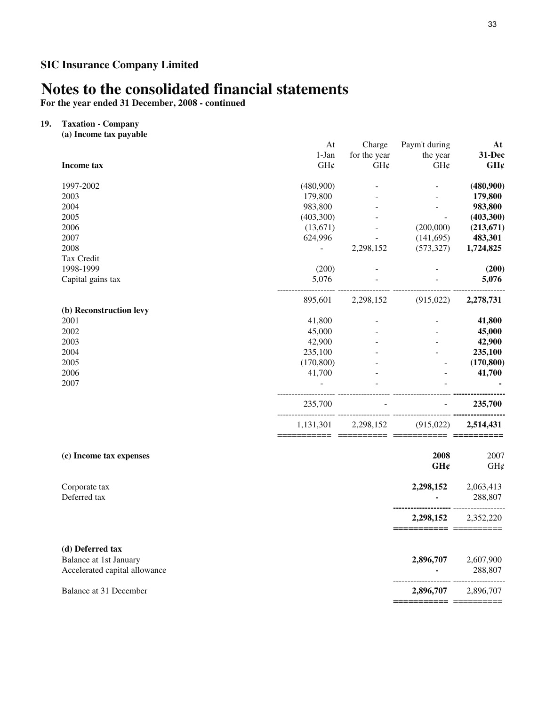**For the year ended 31 December, 2008 - continued**

## **19. Taxation - Company**

| (a) Income tax payable        |                        |                          |                          |            |
|-------------------------------|------------------------|--------------------------|--------------------------|------------|
|                               | At                     | Charge                   | Paym't during            | At         |
|                               | $1-Jan$                | for the year             | the year                 | 31-Dec     |
| <b>Income tax</b>             | GH¢                    | GH¢                      | GH¢                      | GH¢        |
| 1997-2002                     | (480,900)              | $\overline{\phantom{a}}$ | $\overline{\phantom{a}}$ | (480,900)  |
| 2003                          | 179,800                |                          |                          | 179,800    |
| 2004                          | 983,800                |                          |                          | 983,800    |
| 2005                          | (403,300)              |                          |                          | (403, 300) |
| 2006                          | (13,671)               |                          | (200,000)                | (213, 671) |
| 2007                          | 624,996                |                          | (141, 695)               | 483,301    |
| 2008                          |                        | 2,298,152                | (573, 327)               | 1,724,825  |
| Tax Credit                    |                        |                          |                          |            |
| 1998-1999                     | (200)                  |                          |                          | (200)      |
| Capital gains tax             | 5,076                  |                          |                          | 5,076      |
|                               | 895,601                | 2,298,152                | (915, 022)               | 2,278,731  |
| (b) Reconstruction levy       |                        |                          |                          |            |
| 2001                          | 41,800                 |                          |                          | 41,800     |
| 2002                          | 45,000                 |                          |                          | 45,000     |
| 2003                          | 42,900                 |                          |                          | 42,900     |
| 2004                          | 235,100                |                          |                          | 235,100    |
| 2005                          | (170, 800)             |                          |                          | (170, 800) |
| 2006                          | 41,700                 |                          |                          | 41,700     |
| 2007                          |                        |                          |                          |            |
|                               | 235,700                |                          |                          | 235,700    |
|                               | 1,131,301<br>========= | 2,298,152                | (915, 022)               | 2,514,431  |
| (c) Income tax expenses       |                        |                          | 2008                     | 2007       |
|                               |                        |                          | GHC                      | GH¢        |
| Corporate tax                 |                        |                          | 2,298,152                | 2,063,413  |
| Deferred tax                  |                        |                          |                          | 288,807    |
|                               |                        |                          | 2,298,152                | 2,352,220  |
|                               |                        |                          | ==================       |            |
| (d) Deferred tax              |                        |                          |                          |            |
| <b>Balance at 1st January</b> |                        |                          | 2,896,707                | 2,607,900  |
| Accelerated capital allowance |                        |                          |                          | 288,807    |
| <b>Balance at 31 December</b> |                        |                          | 2,896,707                | 2,896,707  |
|                               |                        |                          | ===========              |            |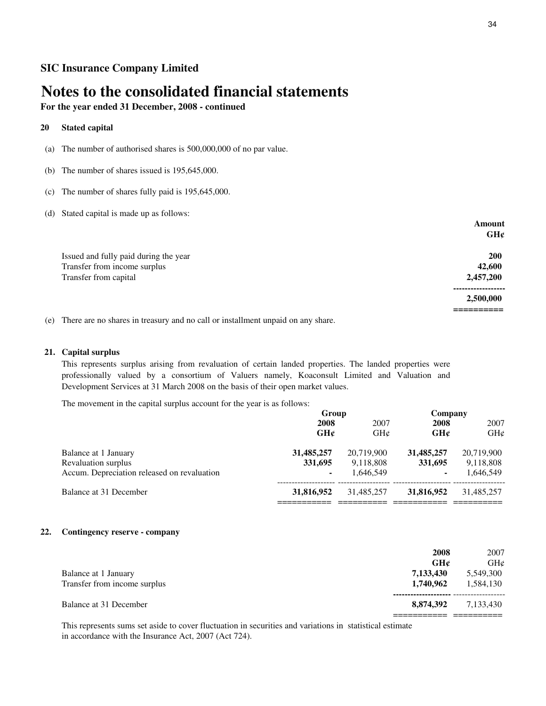# **Notes to the consolidated financial statements**

**For the year ended 31 December, 2008 - continued**

## **20 Stated capital**

- (a) The number of authorised shares is 500,000,000 of no par value.
- (b) The number of shares issued is 195,645,000.
- (c) The number of shares fully paid is 195,645,000.
- (d) Stated capital is made up as follows:

|                                       | Amount     |
|---------------------------------------|------------|
|                                       | GH¢        |
| Issued and fully paid during the year | <b>200</b> |
| Transfer from income surplus          | 42,600     |
| Transfer from capital                 | 2,457,200  |
|                                       | 2,500,000  |
|                                       |            |

(e) There are no shares in treasury and no call or installment unpaid on any share.

### **21. Capital surplus**

This represents surplus arising from revaluation of certain landed properties. The landed properties were professionally valued by a consortium of Valuers namely, Koaconsult Limited and Valuation and Development Services at 31 March 2008 on the basis of their open market values.

The movement in the capital surplus account for the year is as follows:

|                                             | Group      |                 |            | Company    |  |
|---------------------------------------------|------------|-----------------|------------|------------|--|
|                                             | 2008       | 2007            | 2008       | 2007       |  |
|                                             | GHC        | $GH\mathcal{C}$ | GH¢        | GHC        |  |
| Balance at 1 January                        | 31,485,257 | 20.719.900      | 31,485,257 | 20,719,900 |  |
| Revaluation surplus                         | 331,695    | 9.118.808       | 331.695    | 9,118,808  |  |
| Accum. Depreciation released on revaluation |            | 1.646.549       |            | 1.646.549  |  |
| Balance at 31 December                      | 31,816,952 | 31.485.257      | 31,816,952 | 31.485.257 |  |
|                                             |            |                 |            |            |  |

### **22. Contingency reserve - company**

|                              | 2008      | 2007      |
|------------------------------|-----------|-----------|
|                              | GHC       | $GH\&$    |
| Balance at 1 January         | 7,133,430 | 5,549,300 |
| Transfer from income surplus | 1,740,962 | 1,584,130 |
| Balance at 31 December       | 8.874.392 | 7,133,430 |
|                              |           |           |

This represents sums set aside to cover fluctuation in securities and variations in statistical estimate in accordance with the Insurance Act, 2007 (Act 724).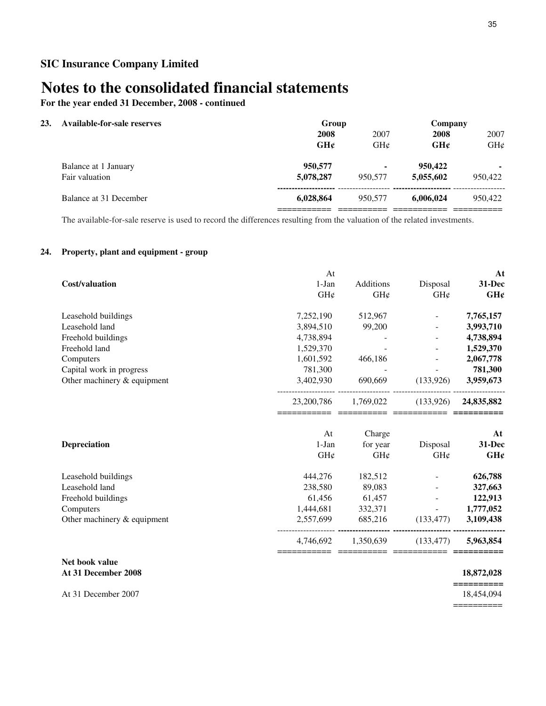**For the year ended 31 December, 2008 - continued**

## **23. Available-for-sale reserves**

| Available-for-sale reserves | Group     |         |           | Company         |  |
|-----------------------------|-----------|---------|-----------|-----------------|--|
|                             | 2008      | 2007    | 2008      | 2007            |  |
|                             | GHC       | GHC     | GH¢       | $GH\mathcal{C}$ |  |
| Balance at 1 January        | 950,577   |         | 950,422   |                 |  |
| Fair valuation              | 5,078,287 | 950,577 | 5,055,602 | 950,422         |  |
| Balance at 31 December      | 6,028,864 | 950,577 | 6,006,024 | 950,422         |  |
|                             |           |         |           |                 |  |

The available-for-sale reserve is used to record the differences resulting from the valuation of the related investments.

## **24. Property, plant and equipment - group**

|                             | At         |           |                          | At         |
|-----------------------------|------------|-----------|--------------------------|------------|
| Cost/valuation              | $1-Jan$    | Additions | Disposal                 | 31-Dec     |
|                             | GH¢        | GH¢       | GH¢                      | GH¢        |
| Leasehold buildings         | 7,252,190  | 512,967   | $\blacksquare$           | 7,765,157  |
| Leasehold land              | 3,894,510  | 99,200    | $\overline{\phantom{a}}$ | 3,993,710  |
| Freehold buildings          | 4,738,894  |           |                          | 4,738,894  |
| Freehold land               | 1,529,370  |           |                          | 1,529,370  |
| Computers                   | 1,601,592  | 466,186   |                          | 2,067,778  |
| Capital work in progress    | 781,300    |           |                          | 781,300    |
| Other machinery & equipment | 3,402,930  | 690,669   | (133, 926)               | 3,959,673  |
|                             | 23,200,786 | 1.769.022 | (133.926)                | 24,835,882 |
|                             | At         | Charge    |                          | At         |
| Depreciation                | $1-Jan$    | for year  | Disposal                 | 31-Dec     |
|                             | GH¢        | GHC       | GHC                      | GH¢        |
| Leasehold buildings         | 444,276    | 182,512   |                          | 626,788    |
| Leasehold land              | 238,580    | 89,083    |                          | 327,663    |
| Freehold buildings          | 61,456     | 61,457    |                          | 122,913    |
| Computers                   | 1,444,681  | 332,371   |                          | 1,777,052  |
| Other machinery & equipment | 2,557,699  | 685,216   | (133, 477)               | 3,109,438  |
|                             | 4.746.692  | 1.350.639 | (133.477)                | 5,963,854  |
|                             |            |           |                          |            |

## **Net book value At 31 December 2008 18,872,028**

At 31 December 2007

**==========**

==========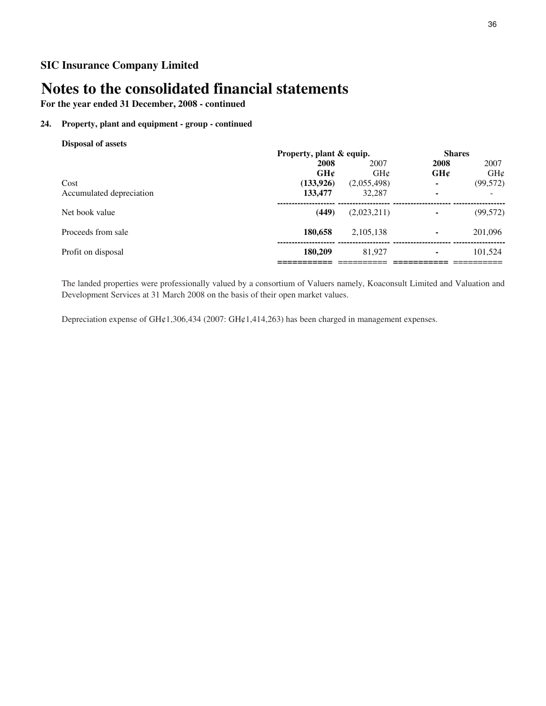# **Notes to the consolidated financial statements**

**For the year ended 31 December, 2008 - continued**

# **24. Property, plant and equipment - group - continued**

**Disposal of assets**

|                          |           | Property, plant & equip. |                | <b>Shares</b> |  |
|--------------------------|-----------|--------------------------|----------------|---------------|--|
|                          | 2008      | 2007                     | 2008           | 2007          |  |
|                          | GHC       | $GH\mathcal{C}$          | GHC            | GHC           |  |
| Cost                     | (133,926) | (2,055,498)              | ۰              | (99, 572)     |  |
| Accumulated depreciation | 133,477   | 32,287                   | ۰              |               |  |
| Net book value           | (449)     | (2,023,211)              | ۰              | (99, 572)     |  |
| Proceeds from sale       | 180,658   | 2,105,138                | ۰              | 201,096       |  |
| Profit on disposal       | 180,209   | 81.927                   | $\blacksquare$ | 101,524       |  |
|                          |           |                          |                |               |  |

The landed properties were professionally valued by a consortium of Valuers namely, Koaconsult Limited and Valuation and Development Services at 31 March 2008 on the basis of their open market values.

Depreciation expense of GH¢1,306,434 (2007: GH¢1,414,263) has been charged in management expenses.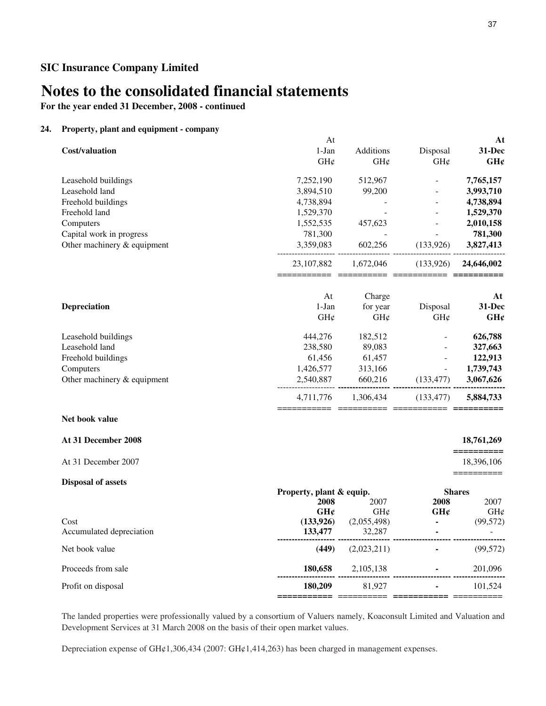**For the year ended 31 December, 2008 - continued**

## **24. Property, plant and equipment - company**

|                             | At                |                          |                          | At                           |
|-----------------------------|-------------------|--------------------------|--------------------------|------------------------------|
| <b>Cost/valuation</b>       | 1-Jan             | Additions                | Disposal                 | 31-Dec                       |
|                             | GH¢               | $GH\mathcal{C}$          | GH¢                      | GHC                          |
| Leasehold buildings         | 7,252,190         | 512,967                  | $\overline{\phantom{a}}$ | 7,765,157                    |
| Leasehold land              | 3,894,510         | 99,200                   |                          | 3,993,710                    |
| Freehold buildings          | 4,738,894         | $\blacksquare$           | $\overline{\phantom{a}}$ | 4,738,894                    |
| Freehold land               | 1,529,370         |                          | $\overline{\phantom{a}}$ | 1,529,370                    |
| Computers                   | 1,552,535         | 457,623                  |                          | 2,010,158                    |
| Capital work in progress    | 781,300           |                          | $\overline{a}$           | 781,300                      |
| Other machinery & equipment | 3,359,083         | 602,256                  | (133, 926)               | 3,827,413                    |
|                             | 23,107,882        | 1,672,046                | (133, 926)               | 24,646,002                   |
|                             | At                | Charge                   |                          | At                           |
| Depreciation                | 1-Jan             | for year                 | Disposal                 | 31-Dec                       |
|                             | GH¢               | GH¢                      | GH¢                      | GHC                          |
| Leasehold buildings         | 444,276           | 182,512                  |                          | 626,788                      |
| Leasehold land              | 238,580           | 89,083                   | $\overline{a}$           | 327,663                      |
| Freehold buildings          | 61,456            | 61,457                   |                          | 122,913                      |
| Computers                   | 1,426,577         | 313,166                  | $\equiv$                 | 1,739,743                    |
| Other machinery & equipment | 2,540,887         | 660,216                  | (133, 477)               | 3,067,626                    |
|                             | 4,711,776         | 1,306,434                | (133, 477)               | 5,884,733                    |
| Net book value              |                   |                          |                          |                              |
| At 31 December 2008         |                   |                          |                          | 18,761,269                   |
| At 31 December 2007         |                   |                          |                          | ==========<br>18,396,106     |
| <b>Disposal of assets</b>   |                   |                          |                          |                              |
|                             |                   | Property, plant & equip. |                          | <b>Shares</b>                |
|                             | 2008              | 2007                     | 2008                     | 2007                         |
| Cost                        | GH¢<br>(133, 926) | GH¢<br>(2,055,498)       | GH¢<br>$\blacksquare$    | $GH\mathcal{C}$<br>(99, 572) |
| Accumulated depreciation    | 133,477           | 32,287                   |                          |                              |
|                             |                   |                          |                          |                              |
| Net book value              | (449)             | (2,023,211)              | $\blacksquare$           | (99, 572)                    |
| Proceeds from sale          | 180,658           | 2,105,138                |                          | 201,096                      |
| Profit on disposal          | 180,209           | 81,927                   |                          | 101,524                      |
|                             |                   | ======== ========== ==== |                          |                              |

The landed properties were professionally valued by a consortium of Valuers namely, Koaconsult Limited and Valuation and Development Services at 31 March 2008 on the basis of their open market values.

Depreciation expense of GH¢1,306,434 (2007: GH¢1,414,263) has been charged in management expenses.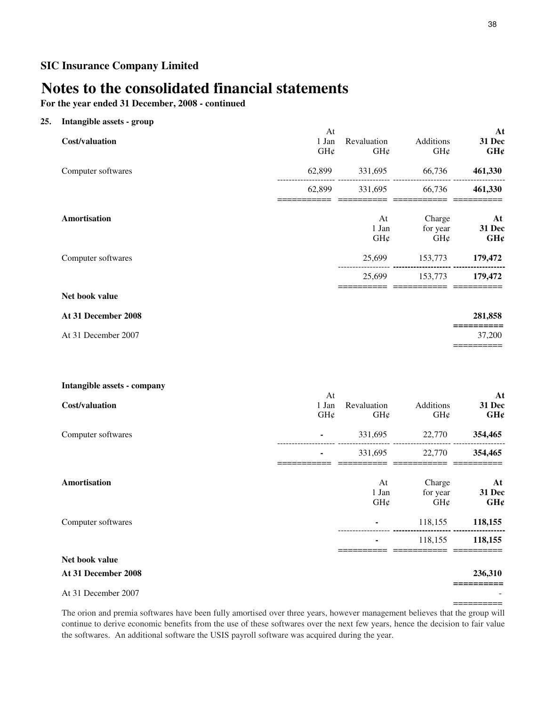# **Notes to the consolidated financial statements**

**For the year ended 31 December, 2008 - continued**

## **25. Intangible assets - group**

| Cost/valuation      | At<br>1 Jan<br>GH¢ | Revaluation<br>GH¢ | Additions<br>GH¢          | At<br>31 Dec<br>GH¢ |
|---------------------|--------------------|--------------------|---------------------------|---------------------|
| Computer softwares  | 62,899             | 331,695            | 66,736                    | 461,330             |
|                     | 62,899             | 331,695            | 66,736                    | 461,330             |
| Amortisation        |                    | At<br>1 Jan<br>GH¢ | Charge<br>for year<br>GH¢ | At<br>31 Dec<br>GH¢ |
| Computer softwares  |                    | 25,699             | 153,773                   | 179,472             |
|                     |                    | 25,699             | 153,773                   | 179,472             |
| Net book value      |                    |                    |                           |                     |
| At 31 December 2008 |                    |                    |                           | 281,858             |
| At 31 December 2007 |                    |                    |                           | 37,200              |
|                     |                    |                    |                           | ======              |

| Intangible assets - company |                                |                                |                         |                     |
|-----------------------------|--------------------------------|--------------------------------|-------------------------|---------------------|
| Cost/valuation              | At<br>1 Jan<br>$GH\mathcal{C}$ | Revaluation<br>$GH\mathcal{C}$ | <b>Additions</b><br>GHC | At<br>31 Dec<br>GHC |
| Computer softwares          | $\overline{\phantom{a}}$       | 331,695                        | 22,770                  | 354,465             |
|                             | $\overline{\phantom{a}}$       | 331,695                        | 22,770                  | 354,465             |
| Amortisation                |                                | At<br>l Jan                    | Charge<br>for year      | At<br>31 Dec        |

|                     | 1 Jan<br>GH¢   | for year<br>$GH\mathcal{C}$ | 31 Dec<br>GHC |
|---------------------|----------------|-----------------------------|---------------|
| Computer softwares  | $\blacksquare$ | 118,155                     | 118,155       |
|                     | ۰              | 118,155                     | 118,155       |
| Net book value      |                |                             |               |
| At 31 December 2008 |                |                             | 236,310       |

## **==========** At 31 December 2007 **-**==========

The orion and premia softwares have been fully amortised over three years, however management believes that the group will continue to derive economic benefits from the use of these softwares over the next few years, hence the decision to fair value the softwares. An additional software the USIS payroll software was acquired during the year.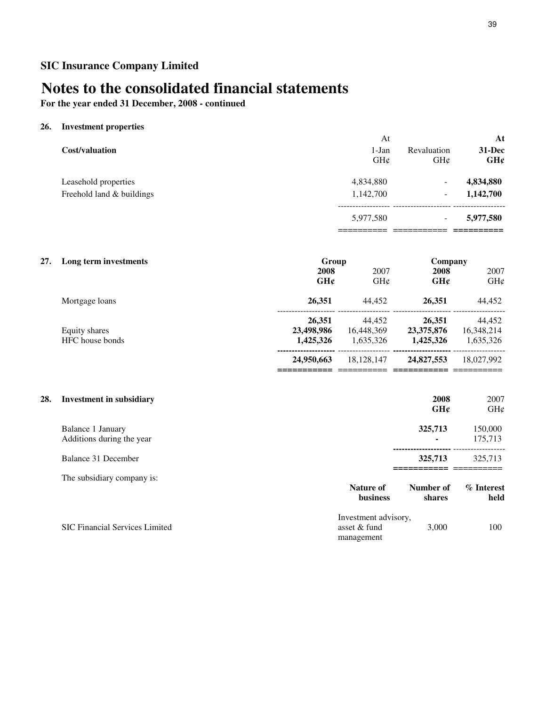# **Notes to the consolidated financial statements**

**For the year ended 31 December, 2008 - continued**

### **26. Investment properties**

|                           | At             |                                | At            |
|---------------------------|----------------|--------------------------------|---------------|
| Cost/valuation            | $1-Jan$<br>GH¢ | Revaluation<br>$GH\mathcal{C}$ | 31-Dec<br>GHC |
| Leasehold properties      | 4,834,880      | -                              | 4,834,880     |
| Freehold land & buildings | 1,142,700      | ۰.                             | 1,142,700     |
|                           | 5,977,580      | ۰.                             | 5,977,580     |
|                           |                |                                |               |

## **27. Long term investments 2008** 2007<br> **2008** 2007<br> **2008** 2007<br> **2008** 2007<br> **2008** 2007 **GH¢** GH¢ **GH¢** GH¢ Mortgage loans **26,351** 44,452 **26,351** 44,452 -------------------- ------------------ -------------------- ------------------ **26,351 24,452 26,351**<br>**23,498,986 16,448,369 23,375,876** Equity shares **23,498,986** 16,448,369 **23,375,876** 16,348,214<br>HFC house bonds **1,425,326** 1,635,326 **1,425,326** 1,635,326 HFC house bonds<br>  $1,425,326$ <br>  $1,635,326$ <br>  $1,635,326$ <br>  $1,635,326$ <br>  $1,635,326$ <br>  $1,635,326$ <br>  $1,635,326$ **--------------------** ------------------ **--------------------** ------------------ **24,950,663** 18,128,147 **24,827,553** 18,027,992 **===========** ========== **===========** ========== **Group Company**

| 28. | <b>Investment in subsidiary</b>                |                                                      | 2008<br>GHC         | 2007<br>GHC        |
|-----|------------------------------------------------|------------------------------------------------------|---------------------|--------------------|
|     | Balance 1 January<br>Additions during the year |                                                      | 325,713             | 150,000<br>175,713 |
|     | Balance 31 December                            |                                                      | 325,713             | 325,713            |
|     | The subsidiary company is:                     | Nature of<br><b>business</b>                         | Number of<br>shares | % Interest<br>held |
|     | <b>SIC Financial Services Limited</b>          | Investment advisory,<br>asset $&$ fund<br>management | 3.000               | 100                |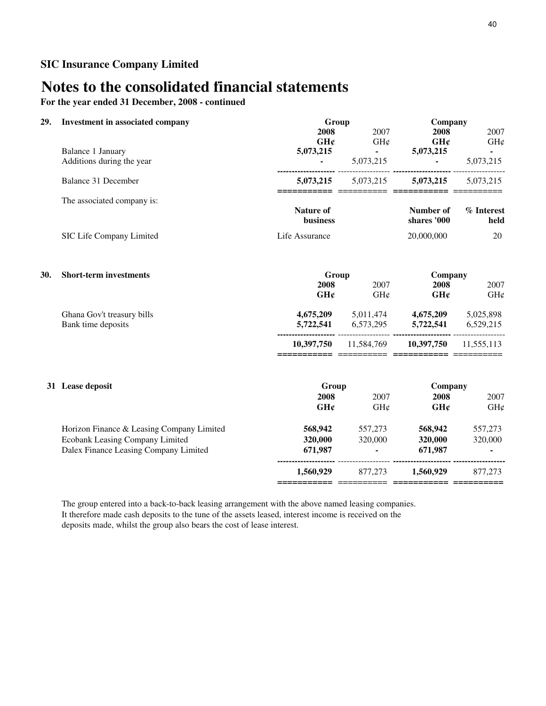**For the year ended 31 December, 2008 - continued**

| 29. | <b>Investment in associated company</b>                                                                               | Group                                                 |                                                 | Company                       |                        |
|-----|-----------------------------------------------------------------------------------------------------------------------|-------------------------------------------------------|-------------------------------------------------|-------------------------------|------------------------|
|     |                                                                                                                       | 2008<br>GHC                                           | 2007<br>GH¢                                     | 2008<br>GH¢                   | 2007<br>GH¢            |
|     | Balance 1 January<br>Additions during the year                                                                        | 5,073,215                                             | 5,073,215                                       | 5,073,215                     | 5,073,215              |
|     | <b>Balance 31 December</b>                                                                                            | 5,073,215<br>============ =========== ============ == | 5,073,215                                       | 5,073,215                     | 5,073,215              |
|     | The associated company is:                                                                                            | Nature of<br><b>business</b>                          |                                                 | Number of<br>shares '000      | % Interest<br>held     |
|     | SIC Life Company Limited                                                                                              | Life Assurance                                        |                                                 | 20,000,000                    | 20                     |
| 30. | <b>Short-term investments</b>                                                                                         | Group                                                 |                                                 | Company                       |                        |
|     |                                                                                                                       | 2008<br>GH¢                                           | 2007<br>GH¢                                     | 2008<br>GH¢                   | 2007<br>GH¢            |
|     | Ghana Gov't treasury bills<br>Bank time deposits                                                                      | 4,675,209<br>5,722,541                                | 5,011,474<br>6,573,295                          | 4,675,209<br>5,722,541        | 5,025,898<br>6,529,215 |
|     |                                                                                                                       | 10,397,750                                            | -------------- ------------------<br>11,584,769 | 10,397,750                    | 11,555,113             |
|     | 31 Lease deposit                                                                                                      | Group                                                 |                                                 | Company                       |                        |
|     |                                                                                                                       | 2008<br>GH¢                                           | 2007<br>GH¢                                     | 2008<br>GH¢                   | 2007<br>GH¢            |
|     | Horizon Finance & Leasing Company Limited<br>Ecobank Leasing Company Limited<br>Dalex Finance Leasing Company Limited | 568,942<br>320,000<br>671,987                         | 557,273<br>320,000<br>$\sim 100$                | 568,942<br>320,000<br>671,987 | 557,273<br>320,000     |
|     |                                                                                                                       | 1,560,929                                             | 877,273                                         | 1,560,929                     | 877,273                |
|     |                                                                                                                       |                                                       |                                                 |                               |                        |

The group entered into a back-to-back leasing arrangement with the above named leasing companies. It therefore made cash deposits to the tune of the assets leased, interest income is received on the deposits made, whilst the group also bears the cost of lease interest.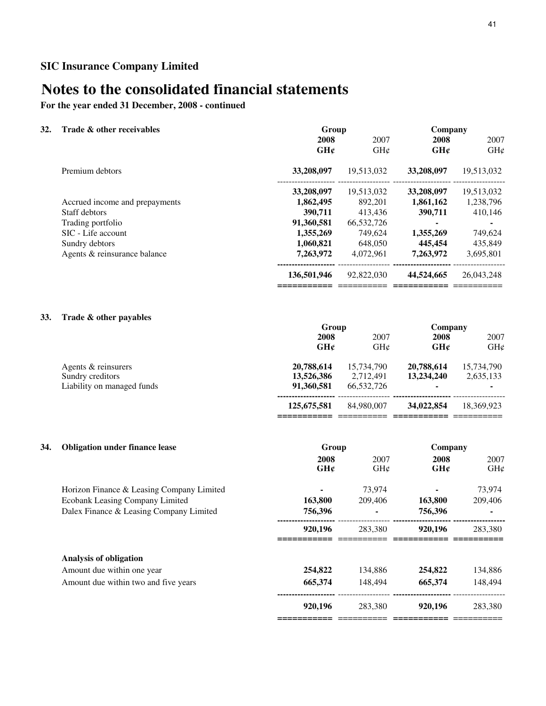**For the year ended 31 December, 2008 - continued**

## **32. Trade & other receivables**

| Trade & other receivables      |             | Group      |            | Company    |  |
|--------------------------------|-------------|------------|------------|------------|--|
|                                | 2008        | 2007       | 2008       | 2007       |  |
|                                | GHC         | GH¢        | GH¢        | GH¢        |  |
| Premium debtors                | 33,208,097  | 19,513,032 | 33,208,097 | 19,513,032 |  |
|                                | 33,208,097  | 19,513,032 | 33,208,097 | 19,513,032 |  |
| Accrued income and prepayments | 1,862,495   | 892.201    | 1,861,162  | 1,238,796  |  |
| Staff debtors                  | 390,711     | 413,436    | 390,711    | 410,146    |  |
| Trading portfolio              | 91,360,581  | 66,532,726 | ۰          |            |  |
| SIC - Life account             | 1,355,269   | 749.624    | 1,355,269  | 749,624    |  |
| Sundry debtors                 | 1,060,821   | 648,050    | 445,454    | 435,849    |  |
| Agents & reinsurance balance   | 7,263,972   | 4,072,961  | 7,263,972  | 3,695,801  |  |
|                                | 136,501,946 | 92,822,030 | 44,524,665 | 26,043,248 |  |
|                                |             |            |            |            |  |

## **33. Trade & other payables**

|                            | Group       |            |            | Company         |  |
|----------------------------|-------------|------------|------------|-----------------|--|
|                            | 2008        | 2007       | 2008       | 2007            |  |
|                            | GHC         | GHC        | GH¢        | $GH\mathcal{C}$ |  |
| Agents & reinsurers        | 20,788,614  | 15,734,790 | 20,788,614 | 15,734,790      |  |
| Sundry creditors           | 13,526,386  | 2.712.491  | 13.234.240 | 2,635,133       |  |
| Liability on managed funds | 91,360,581  | 66,532,726 | ۰          | ۰               |  |
|                            | 125,675,581 | 84,980,007 | 34,022,854 | 18.369.923      |  |
|                            |             |            |            |                 |  |

| 34. | <b>Obligation under finance lease</b>     | Group       |             | Company     |             |
|-----|-------------------------------------------|-------------|-------------|-------------|-------------|
|     |                                           | 2008<br>GH¢ | 2007<br>GH@ | 2008<br>GHC | 2007<br>GHC |
|     | Horizon Finance & Leasing Company Limited |             | 73,974      |             | 73,974      |
|     | <b>Ecobank Leasing Company Limited</b>    | 163,800     | 209,406     | 163,800     | 209,406     |
|     | Dalex Finance & Leasing Company Limited   | 756,396     | ٠           | 756,396     |             |
|     |                                           | 920,196     | 283.380     | 920,196     | 283,380     |
|     | <b>Analysis of obligation</b>             |             |             |             |             |
|     | Amount due within one year                | 254,822     | 134.886     | 254,822     | 134,886     |
|     | Amount due within two and five years      | 665,374     | 148,494     | 665,374     | 148,494     |
|     |                                           | 920,196     | 283.380     | 920,196     | 283,380     |
|     |                                           |             |             |             |             |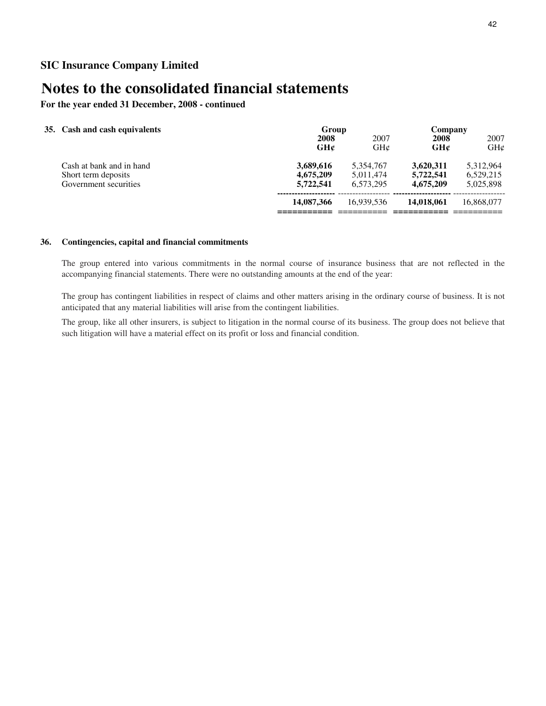**For the year ended 31 December, 2008 - continued**

| 2008<br>GHC                         | 2007                                | 2008                                | 2007<br>GHC                         |
|-------------------------------------|-------------------------------------|-------------------------------------|-------------------------------------|
| 3,689,616<br>4,675,209<br>5,722,541 | 5,354,767<br>5,011,474<br>6.573.295 | 3,620,311<br>5,722,541<br>4,675,209 | 5.312.964<br>6,529,215<br>5,025,898 |
| 14,087,366                          | 16.939.536                          | 14.018.061                          | 16.868,077                          |
|                                     |                                     | Group                               | Company<br>GHC<br>$GH\&$            |

## **36. Contingencies, capital and financial commitments**

The group entered into various commitments in the normal course of insurance business that are not reflected in the accompanying financial statements. There were no outstanding amounts at the end of the year:

The group has contingent liabilities in respect of claims and other matters arising in the ordinary course of business. It is not anticipated that any material liabilities will arise from the contingent liabilities.

The group, like all other insurers, is subject to litigation in the normal course of its business. The group does not believe that such litigation will have a material effect on its profit or loss and financial condition.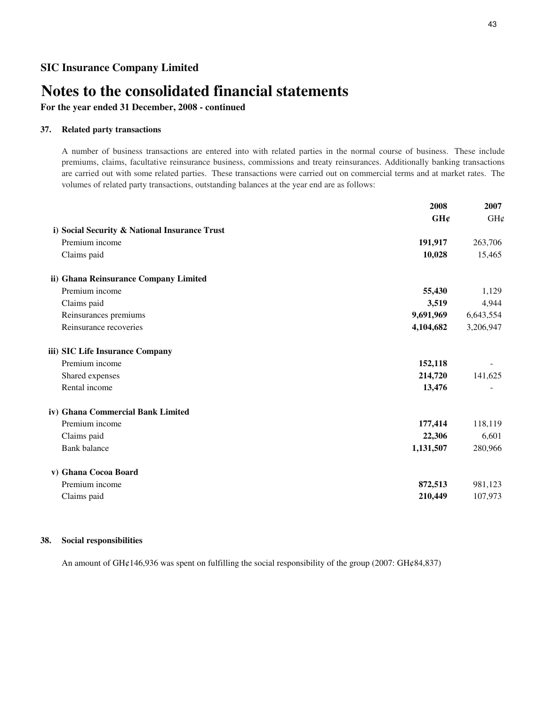**For the year ended 31 December, 2008 - continued**

### **37. Related party transactions**

A number of business transactions are entered into with related parties in the normal course of business. These include premiums, claims, facultative reinsurance business, commissions and treaty reinsurances. Additionally banking transactions are carried out with some related parties. These transactions were carried out on commercial terms and at market rates. The volumes of related party transactions, outstanding balances at the year end are as follows:

|                                               | 2008      | 2007      |
|-----------------------------------------------|-----------|-----------|
|                                               | GH¢       | GH¢       |
| i) Social Security & National Insurance Trust |           |           |
| Premium income                                | 191,917   | 263,706   |
| Claims paid                                   | 10,028    | 15,465    |
| ii) Ghana Reinsurance Company Limited         |           |           |
| Premium income                                | 55,430    | 1,129     |
| Claims paid                                   | 3,519     | 4,944     |
| Reinsurances premiums                         | 9,691,969 | 6,643,554 |
| Reinsurance recoveries                        | 4,104,682 | 3,206,947 |
| iii) SIC Life Insurance Company               |           |           |
| Premium income                                | 152,118   |           |
| Shared expenses                               | 214,720   | 141,625   |
| Rental income                                 | 13,476    |           |
| iv) Ghana Commercial Bank Limited             |           |           |
| Premium income                                | 177,414   | 118,119   |
| Claims paid                                   | 22,306    | 6,601     |
| <b>Bank</b> balance                           | 1,131,507 | 280,966   |
| v) Ghana Cocoa Board                          |           |           |
| Premium income                                | 872,513   | 981,123   |
| Claims paid                                   | 210,449   | 107,973   |

### **38. Social responsibilities**

An amount of GH¢146,936 was spent on fulfilling the social responsibility of the group (2007: GH¢84,837)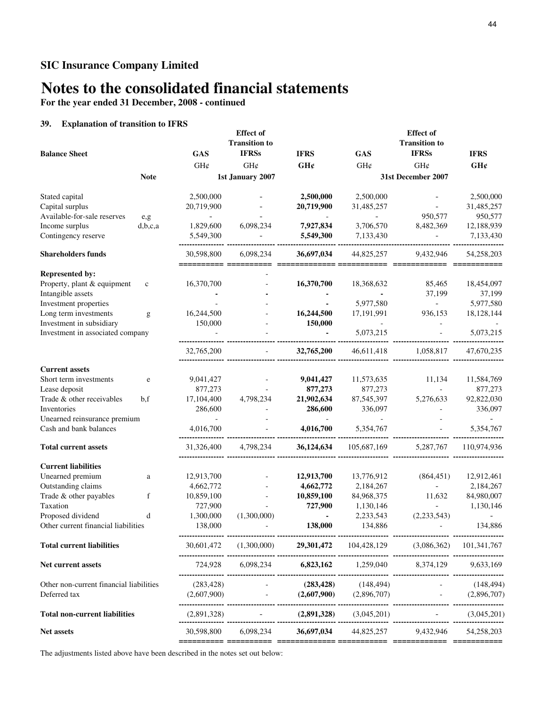**For the year ended 31 December, 2008 - continued**

# **39. Explanation of transition to IFRS**

| <b>Balance Sheet</b>                                    |              | GAS                                | <b>Effect</b> of<br><b>Transition to</b><br><b>IFRSs</b>       | <b>IFRS</b>                                                          | <b>GAS</b>                            | <b>Effect</b> of<br><b>Transition to</b><br><b>IFRSs</b>                            | <b>IFRS</b>               |
|---------------------------------------------------------|--------------|------------------------------------|----------------------------------------------------------------|----------------------------------------------------------------------|---------------------------------------|-------------------------------------------------------------------------------------|---------------------------|
|                                                         |              | GH¢                                | GH¢                                                            | GH¢                                                                  | GH¢                                   | GH¢                                                                                 | GH¢                       |
|                                                         | <b>Note</b>  |                                    | 1st January 2007                                               |                                                                      |                                       | 31st December 2007                                                                  |                           |
| Stated capital                                          |              | 2,500,000                          |                                                                | 2,500,000                                                            | 2,500,000                             |                                                                                     | 2,500,000                 |
| Capital surplus                                         |              | 20,719,900                         |                                                                | 20,719,900                                                           | 31,485,257                            |                                                                                     | 31,485,257                |
| Available-for-sale reserves                             | e,g          | $\sim$                             |                                                                |                                                                      |                                       | 950,577                                                                             | 950,577                   |
| Income surplus                                          | d,b,c,a      | 1,829,600<br>5.549.300             | 6,098,234                                                      | 7,927,834                                                            | 3,706,570                             | 8,482,369                                                                           | 12,188,939                |
| Contingency reserve                                     |              |                                    |                                                                | 5,549,300                                                            | 7,133,430                             |                                                                                     | 7,133,430                 |
| <b>Shareholders funds</b>                               |              | 30,598,800<br>==================== | 6,098,234                                                      | 36,697,034                                                           | 44.825.257                            | 9,432,946                                                                           | 54,258,203<br>========    |
| Represented by:                                         |              |                                    |                                                                |                                                                      |                                       |                                                                                     |                           |
| Property, plant & equipment                             | $\mathbf{C}$ | 16,370,700                         |                                                                | 16,370,700                                                           | 18,368,632                            | 85,465                                                                              | 18,454,097                |
| Intangible assets                                       |              |                                    |                                                                | $\blacksquare$                                                       | $\blacksquare$                        | 37,199                                                                              | 37,199                    |
| Investment properties<br>Long term investments          |              |                                    |                                                                |                                                                      | 5,977,580                             | $\overline{a}$                                                                      | 5,977,580                 |
| Investment in subsidiary                                | g            | 16,244,500<br>150,000              |                                                                | 16,244,500<br>150,000                                                | 17,191,991                            | 936,153                                                                             | 18,128,144                |
| Investment in associated company                        |              |                                    |                                                                |                                                                      | 5,073,215                             |                                                                                     | 5,073,215                 |
|                                                         |              | 32,765,200<br>----------------     |                                                                | 32,765,200                                                           | 46,611,418                            | 1,058,817                                                                           | 47.670.235                |
| <b>Current assets</b>                                   |              |                                    |                                                                |                                                                      |                                       |                                                                                     |                           |
| Short term investments                                  | e            | 9,041,427                          |                                                                | 9,041,427                                                            | 11,573,635                            | 11,134                                                                              | 11,584,769                |
| Lease deposit                                           |              | 877,273                            |                                                                | 877,273                                                              | 877,273                               |                                                                                     | 877,273                   |
| Trade & other receivables                               | b.f          | 17,104,400                         | 4,798,234                                                      | 21,902,634                                                           | 87, 545, 397                          | 5,276,633                                                                           | 92,822,030                |
| Inventories                                             |              | 286,600                            |                                                                | 286,600                                                              | 336,097                               |                                                                                     | 336,097                   |
| Unearned reinsurance premium<br>Cash and bank balances  |              | 4,016,700                          |                                                                | 4,016,700                                                            | $\overline{\phantom{a}}$<br>5,354,767 |                                                                                     | 5,354,767                 |
| <b>Total current assets</b>                             |              | 31,326,400                         | 4,798,234                                                      | 36,124,634                                                           | 105,687,169                           | 5,287,767                                                                           | 110,974,936               |
| <b>Current liabilities</b>                              |              |                                    |                                                                |                                                                      |                                       |                                                                                     |                           |
| Unearned premium                                        | a            | 12,913,700                         |                                                                | 12,913,700                                                           | 13,776,912                            | (864, 451)                                                                          | 12,912,461                |
| Outstanding claims                                      |              | 4,662,772                          |                                                                | 4,662,772                                                            | 2,184,267                             |                                                                                     | 2,184,267                 |
| Trade & other payables                                  | f            | 10,859,100                         |                                                                | 10,859,100                                                           | 84,968,375                            | 11,632                                                                              | 84,980,007                |
| Taxation                                                |              | 727,900                            |                                                                | 727,900                                                              | 1,130,146                             |                                                                                     | 1,130,146                 |
| Proposed dividend                                       | d            | 1,300,000                          | (1,300,000)                                                    |                                                                      | 2,233,543                             | (2,233,543)                                                                         | $\sim$                    |
| Other current financial liabilities                     |              | 138,000                            |                                                                | 138,000                                                              | 134,886                               |                                                                                     | 134,886                   |
| <b>Total current liabilities</b>                        |              |                                    |                                                                |                                                                      |                                       | 30,601,472 (1,300,000) <b>29,301,472</b> 104,428,129 (3,086,362) 101,341,767        |                           |
| Net current assets                                      |              |                                    |                                                                |                                                                      |                                       | 724,928 6,098,234 6,823,162 1,259,040 8,374,129 9,633,169                           |                           |
| Other non-current financial liabilities<br>Deferred tax |              | (283, 428)<br>(2,607,900)          | <b><i>Committee States Associates</i></b><br><b>Contractor</b> | ( <b>283,428</b> ) $(148,494)$<br>( <b>2,607,900</b> ) $(2,896,707)$ |                                       | $\Delta \sim 100$<br><b>Contract Contract</b>                                       | (148, 494)<br>(2,896,707) |
| <b>Total non-current liabilities</b>                    |              |                                    |                                                                |                                                                      |                                       | $(2,891,328)$ $(3,045,201)$ $(3,045,201)$ $(3,045,201)$ $(3,045,201)$ $(3,045,201)$ |                           |
| Net assets                                              |              |                                    |                                                                |                                                                      |                                       | 30,598,800 6,098,234 36,697,034 44,825,257 9,432,946 54,258,203                     |                           |
|                                                         |              |                                    |                                                                |                                                                      |                                       |                                                                                     |                           |

The adjustments listed above have been described in the notes set out below: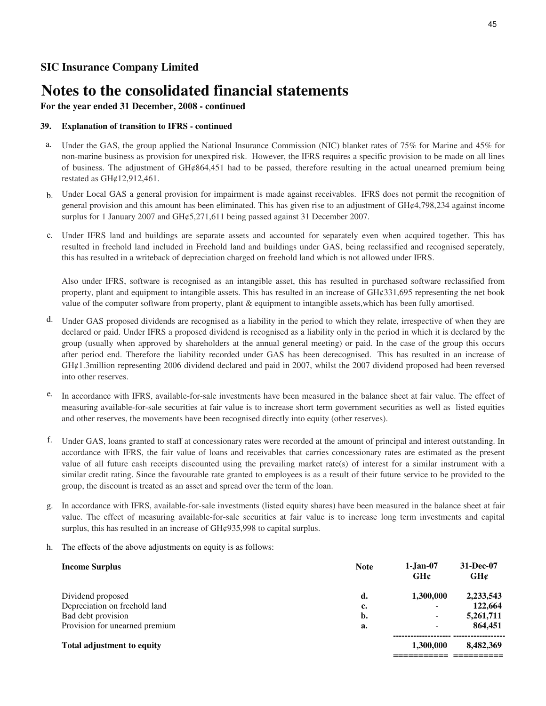# **Notes to the consolidated financial statements**

## **For the year ended 31 December, 2008 - continued**

## **39. Explanation of transition to IFRS - continued**

- a. Under the GAS, the group applied the National Insurance Commission (NIC) blanket rates of 75% for Marine and 45% for non-marine business as provision for unexpired risk. However, the IFRS requires a specific provision to be made on all lines of business. The adjustment of GH¢864,451 had to be passed, therefore resulting in the actual unearned premium being restated as GH¢12,912,461.
- b. Under Local GAS a general provision for impairment is made against receivables. IFRS does not permit the recognition of general provision and this amount has been eliminated. This has given rise to an adjustment of GH¢4,798,234 against income surplus for 1 January 2007 and GH¢5,271,611 being passed against 31 December 2007.
- c. Under IFRS land and buildings are separate assets and accounted for separately even when acquired together. This has resulted in freehold land included in Freehold land and buildings under GAS, being reclassified and recognised seperately, this has resulted in a writeback of depreciation charged on freehold land which is not allowed under IFRS.

Also under IFRS, software is recognised as an intangible asset, this has resulted in purchased software reclassified from property, plant and equipment to intangible assets. This has resulted in an increase of  $GH\epsilon 331,695$  representing the net book value of the computer software from property, plant & equipment to intangible assets,which has been fully amortised.

- d. Under GAS proposed dividends are recognised as a liability in the period to which they relate, irrespective of when they are declared or paid. Under IFRS a proposed dividend is recognised as a liability only in the period in which it is declared by the group (usually when approved by shareholders at the annual general meeting) or paid. In the case of the group this occurs after period end. Therefore the liability recorded under GAS has been derecognised. This has resulted in an increase of GH¢1.3million representing 2006 dividend declared and paid in 2007, whilst the 2007 dividend proposed had been reversed into other reserves.
- e. In accordance with IFRS, available-for-sale investments have been measured in the balance sheet at fair value. The effect of measuring available-for-sale securities at fair value is to increase short term government securities as well as listed equities and other reserves, the movements have been recognised directly into equity (other reserves).
- f. Under GAS, loans granted to staff at concessionary rates were recorded at the amount of principal and interest outstanding. In accordance with IFRS, the fair value of loans and receivables that carries concessionary rates are estimated as the present value of all future cash receipts discounted using the prevailing market rate(s) of interest for a similar instrument with a similar credit rating. Since the favourable rate granted to employees is as a result of their future service to be provided to the group, the discount is treated as an asset and spread over the term of the loan.
- g. In accordance with IFRS, available-for-sale investments (listed equity shares) have been measured in the balance sheet at fair value. The effect of measuring available-for-sale securities at fair value is to increase long term investments and capital surplus, this has resulted in an increase of  $GH\varphi$ 935,998 to capital surplus.
- h. The effects of the above adjustments on equity is as follows:

| <b>Income Surplus</b>             | <b>Note</b> | $1 - Jan-07$<br>GHC          | 31-Dec-07<br>GHC |
|-----------------------------------|-------------|------------------------------|------------------|
| Dividend proposed                 | d.          | 1,300,000                    | 2,233,543        |
| Depreciation on freehold land     | c.          | $\overline{\phantom{0}}$     | 122,664          |
| Bad debt provision                | b.          | $\overline{\phantom{0}}$     | 5,261,711        |
| Provision for unearned premium    | a.          | $\qquad \qquad \blacksquare$ | 864.451          |
| <b>Total adjustment to equity</b> |             | 1,300,000                    | 8.482.369        |
|                                   |             |                              |                  |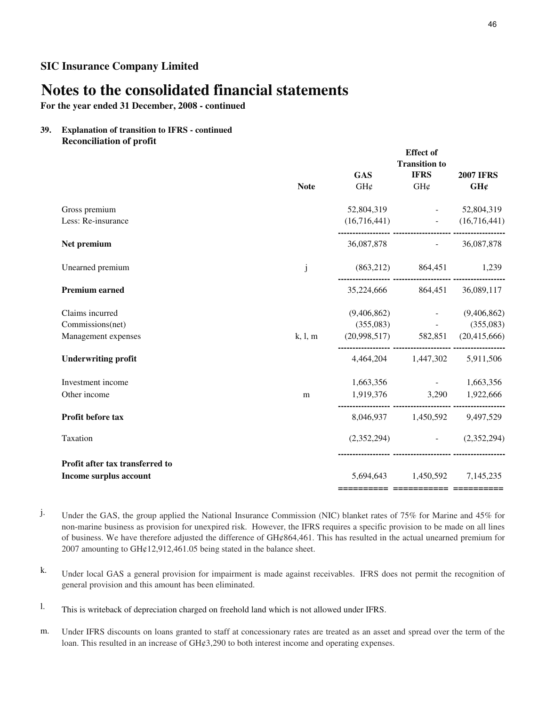# **Notes to the consolidated financial statements**

**For the year ended 31 December, 2008 - continued**

## **39. Explanation of transition to IFRS - continued Reconciliation of profit**

|                                 |             |                                         | <b>Effect</b> of<br><b>Transition to</b> |                         |
|---------------------------------|-------------|-----------------------------------------|------------------------------------------|-------------------------|
|                                 | <b>Note</b> | <b>GAS</b><br>GH¢                       | <b>IFRS</b><br>GH¢                       | <b>2007 IFRS</b><br>GH¢ |
| Gross premium                   |             |                                         | 52,804,319 - 52,804,319                  |                         |
| Less: Re-insurance              |             |                                         | $(16,716,441)$ (16,716,441)              |                         |
| Net premium                     |             |                                         | 36,087,878                               | 36,087,878              |
| Unearned premium                | $\mathbf j$ |                                         | $(863,212)$ $864,451$ $1,239$            |                         |
| <b>Premium earned</b>           |             |                                         | 35,224,666 864,451 36,089,117            |                         |
| Claims incurred                 |             |                                         | $(9,406,862)$ -                          | (9,406,862)             |
| Commissions(net)                |             |                                         | $(355,083)$ -                            | (355,083)               |
| Management expenses             | k, l, m     | $(20,998,517)$ $582,851$ $(20,415,666)$ |                                          |                         |
| <b>Underwriting profit</b>      |             |                                         | 4,464,204 1,447,302 5,911,506            |                         |
| Investment income               |             |                                         | $1,663,356$ -                            | 1,663,356               |
| Other income                    | m           |                                         | 1,919,376 3,290                          | 1,922,666               |
| Profit before tax               |             |                                         | 8,046,937 1,450,592 9,497,529            |                         |
| Taxation                        |             |                                         | $(2,352,294)$ (2,352,294)                |                         |
| Profit after tax transferred to |             |                                         |                                          |                         |
| Income surplus account          |             |                                         | 5,694,643 1,450,592 7,145,235            |                         |

j. Under the GAS, the group applied the National Insurance Commission (NIC) blanket rates of 75% for Marine and 45% for non-marine business as provision for unexpired risk. However, the IFRS requires a specific provision to be made on all lines of business. We have therefore adjusted the difference of GH¢864,461. This has resulted in the actual unearned premium for 2007 amounting to GH¢12,912,461.05 being stated in the balance sheet.

- k. Under local GAS a general provision for impairment is made against receivables. IFRS does not permit the recognition of general provision and this amount has been eliminated.
- l. This is writeback of depreciation charged on freehold land which is not allowed under IFRS.
- m. Under IFRS discounts on loans granted to staff at concessionary rates are treated as an asset and spread over the term of the loan. This resulted in an increase of GH¢3,290 to both interest income and operating expenses.